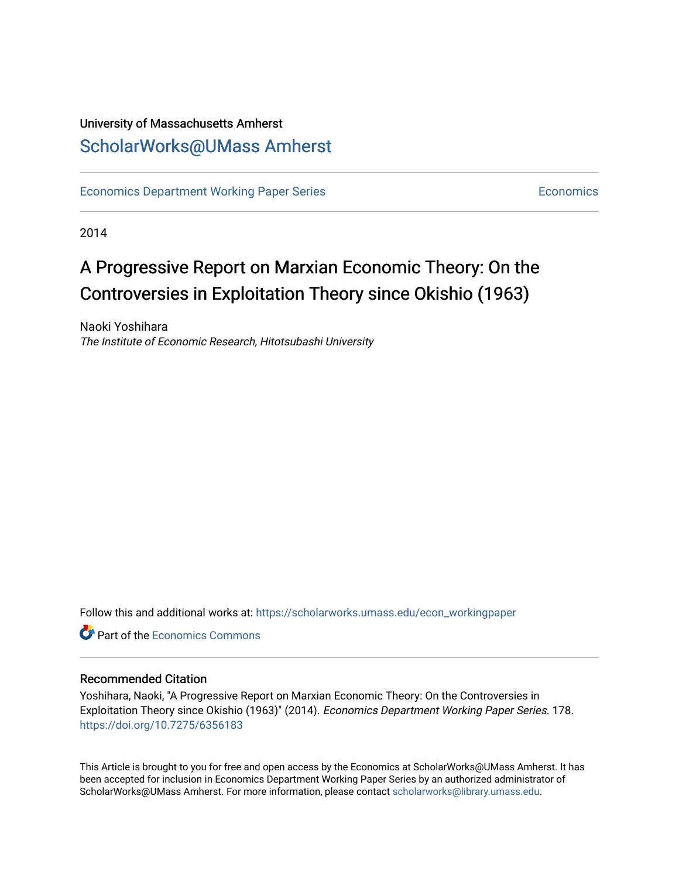# University of Massachusetts Amherst [ScholarWorks@UMass Amherst](https://scholarworks.umass.edu/)

[Economics Department Working Paper Series](https://scholarworks.umass.edu/econ_workingpaper) **Economics** [Economics](https://scholarworks.umass.edu/economics) Economics

2014

# A Progressive Report on Marxian Economic Theory: On the Controversies in Exploitation Theory since Okishio (1963)

Naoki Yoshihara The Institute of Economic Research, Hitotsubashi University

Follow this and additional works at: [https://scholarworks.umass.edu/econ\\_workingpaper](https://scholarworks.umass.edu/econ_workingpaper?utm_source=scholarworks.umass.edu%2Fecon_workingpaper%2F178&utm_medium=PDF&utm_campaign=PDFCoverPages) 

**C**<sup> $\bullet$ </sup> Part of the [Economics Commons](http://network.bepress.com/hgg/discipline/340?utm_source=scholarworks.umass.edu%2Fecon_workingpaper%2F178&utm_medium=PDF&utm_campaign=PDFCoverPages)

#### Recommended Citation

Yoshihara, Naoki, "A Progressive Report on Marxian Economic Theory: On the Controversies in Exploitation Theory since Okishio (1963)" (2014). Economics Department Working Paper Series. 178. <https://doi.org/10.7275/6356183>

This Article is brought to you for free and open access by the Economics at ScholarWorks@UMass Amherst. It has been accepted for inclusion in Economics Department Working Paper Series by an authorized administrator of ScholarWorks@UMass Amherst. For more information, please contact [scholarworks@library.umass.edu.](mailto:scholarworks@library.umass.edu)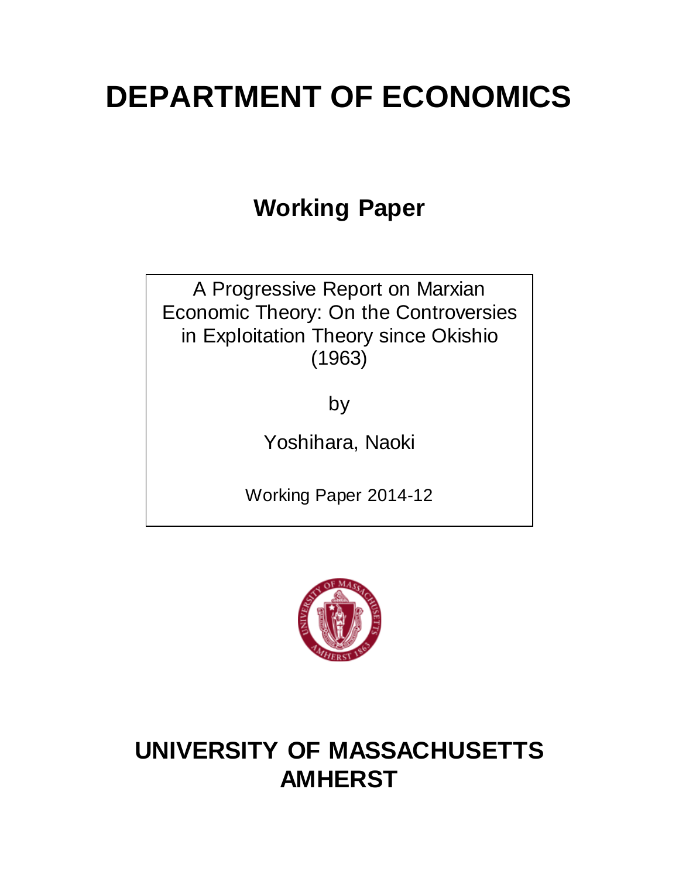# **DEPARTMENT OF ECONOMICS**

# **Working Paper**

A Progressive Report on Marxian Economic Theory: On the Controversies in Exploitation Theory since Okishio (1963)

by

Yoshihara, Naoki

Working Paper 2014-12



# **UNIVERSITY OF MASSACHUSETTS AMHERST**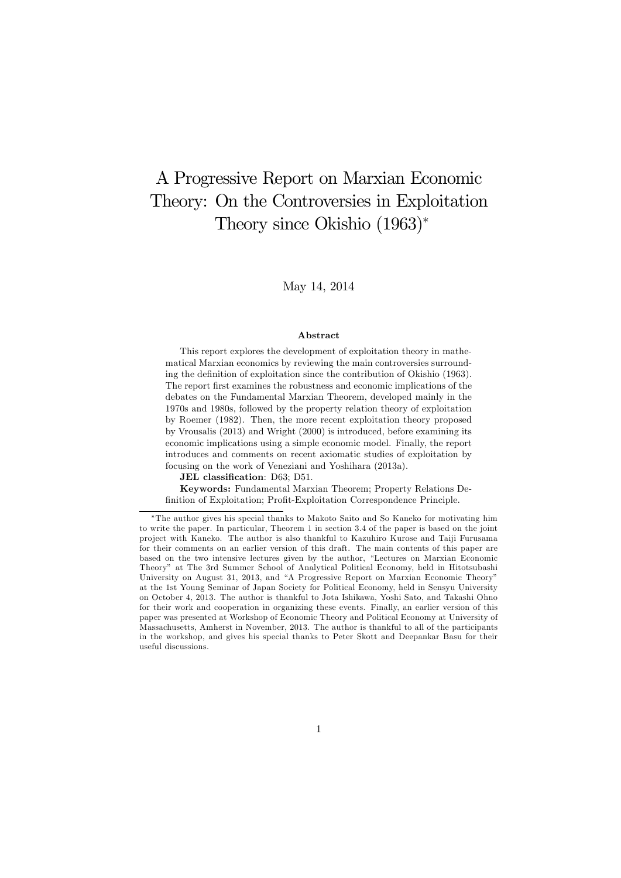# A Progressive Report on Marxian Economic Theory: On the Controversies in Exploitation Theory since Okishio (1963)<sup>∗</sup>

#### May 14, 2014

#### Abstract

This report explores the development of exploitation theory in mathematical Marxian economics by reviewing the main controversies surrounding the definition of exploitation since the contribution of Okishio (1963). The report first examines the robustness and economic implications of the debates on the Fundamental Marxian Theorem, developed mainly in the 1970s and 1980s, followed by the property relation theory of exploitation by Roemer (1982). Then, the more recent exploitation theory proposed by Vrousalis (2013) and Wright (2000) is introduced, before examining its economic implications using a simple economic model. Finally, the report introduces and comments on recent axiomatic studies of exploitation by focusing on the work of Veneziani and Yoshihara (2013a).

JEL classification: D63; D51.

Keywords: Fundamental Marxian Theorem; Property Relations Definition of Exploitation; Profit-Exploitation Correspondence Principle.

<sup>∗</sup>The author gives his special thanks to Makoto Saito and So Kaneko for motivating him to write the paper. In particular, Theorem 1 in section 3.4 of the paper is based on the joint pro ject with Kaneko. The author is also thankful to Kazuhiro Kurose and Taiji Furusama for their comments on an earlier version of this draft. The main contents of this paper are based on the two intensive lectures given by the author, "Lectures on Marxian Economic Theory" at The 3rd Summer School of Analytical Political Economy, held in Hitotsubashi University on August 31, 2013, and "A Progressive Report on Marxian Economic Theory" at the 1st Young Seminar of Japan Society for Political Economy, held in Sensyu University on October 4, 2013. The author is thankful to Jota Ishikawa, Yoshi Sato, and Takashi Ohno for their work and cooperation in organizing these events. Finally, an earlier version of this paper was presented at Workshop of Economic Theory and Political Economy at University of Massachusetts, Amherst in November, 2013. The author is thankful to all of the participants in the workshop, and gives his special thanks to Peter Skott and Deepankar Basu for their useful discussions.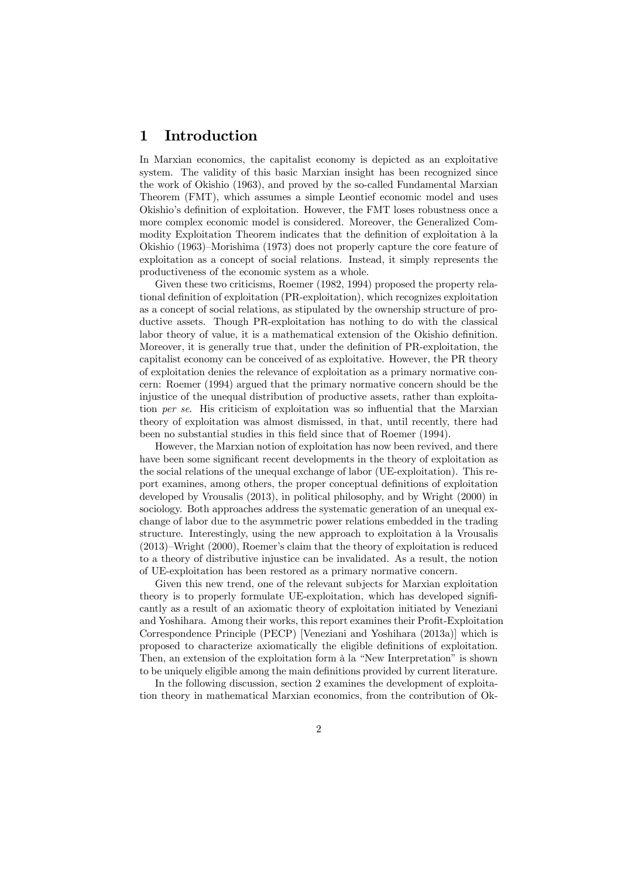#### 1 Introduction

In Marxian economics, the capitalist economy is depicted as an exploitative system. The validity of this basic Marxian insight has been recognized since the work of Okishio (1963), and proved by the so-called Fundamental Marxian Theorem (FMT), which assumes a simple Leontief economic model and uses Okishio's definition of exploitation. However, the FMT loses robustness once a more complex economic model is considered. Moreover, the Generalized Commodity Exploitation Theorem indicates that the definition of exploitation à la Okishio (1963)—Morishima (1973) does not properly capture the core feature of exploitation as a concept of social relations. Instead, it simply represents the productiveness of the economic system as a whole.

Given these two criticisms, Roemer (1982, 1994) proposed the property relational definition of exploitation (PR-exploitation), which recognizes exploitation as a concept of social relations, as stipulated by the ownership structure of productive assets. Though PR-exploitation has nothing to do with the classical labor theory of value, it is a mathematical extension of the Okishio definition. Moreover, it is generally true that, under the definition of PR-exploitation, the capitalist economy can be conceived of as exploitative. However, the PR theory of exploitation denies the relevance of exploitation as a primary normative concern: Roemer (1994) argued that the primary normative concern should be the injustice of the unequal distribution of productive assets, rather than exploitation per se. His criticism of exploitation was so influential that the Marxian theory of exploitation was almost dismissed, in that, until recently, there had been no substantial studies in this field since that of Roemer (1994).

However, the Marxian notion of exploitation has now been revived, and there have been some significant recent developments in the theory of exploitation as the social relations of the unequal exchange of labor (UE-exploitation). This report examines, among others, the proper conceptual definitions of exploitation developed by Vrousalis (2013), in political philosophy, and by Wright (2000) in sociology. Both approaches address the systematic generation of an unequal exchange of labor due to the asymmetric power relations embedded in the trading structure. Interestingly, using the new approach to exploitation à la Vrousalis (2013)—Wright (2000), Roemer's claim that the theory of exploitation is reduced to a theory of distributive injustice can be invalidated. As a result, the notion of UE-exploitation has been restored as a primary normative concern.

Given this new trend, one of the relevant subjects for Marxian exploitation theory is to properly formulate UE-exploitation, which has developed significantly as a result of an axiomatic theory of exploitation initiated by Veneziani and Yoshihara. Among their works, this report examines their Profit-Exploitation Correspondence Principle (PECP) [Veneziani and Yoshihara (2013a)] which is proposed to characterize axiomatically the eligible definitions of exploitation. Then, an extension of the exploitation form à la "New Interpretation" is shown to be uniquely eligible among the main definitions provided by current literature.

In the following discussion, section 2 examines the development of exploitation theory in mathematical Marxian economics, from the contribution of Ok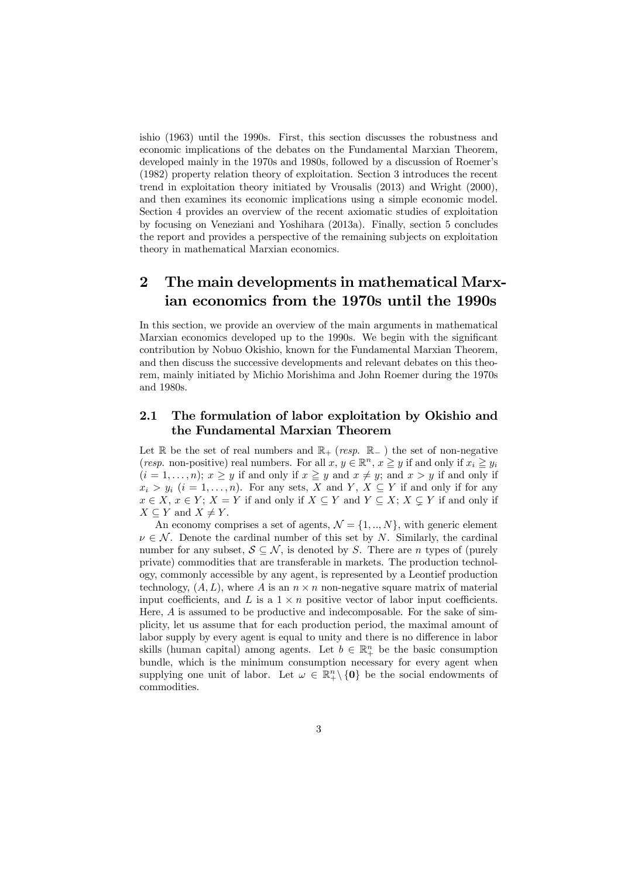ishio (1963) until the 1990s. First, this section discusses the robustness and economic implications of the debates on the Fundamental Marxian Theorem, developed mainly in the 1970s and 1980s, followed by a discussion of Roemer's (1982) property relation theory of exploitation. Section 3 introduces the recent trend in exploitation theory initiated by Vrousalis (2013) and Wright (2000), and then examines its economic implications using a simple economic model. Section 4 provides an overview of the recent axiomatic studies of exploitation by focusing on Veneziani and Yoshihara (2013a). Finally, section 5 concludes the report and provides a perspective of the remaining subjects on exploitation theory in mathematical Marxian economics.

### 2 The main developments in mathematical Marxian economics from the 1970s until the 1990s

In this section, we provide an overview of the main arguments in mathematical Marxian economics developed up to the 1990s. We begin with the significant contribution by Nobuo Okishio, known for the Fundamental Marxian Theorem, and then discuss the successive developments and relevant debates on this theorem, mainly initiated by Michio Morishima and John Roemer during the 1970s and 1980s.

#### 2.1 The formulation of labor exploitation by Okishio and the Fundamental Marxian Theorem

Let R be the set of real numbers and  $\mathbb{R}_+$  (resp.  $\mathbb{R}_-$ ) the set of non-negative (resp. non-positive) real numbers. For all  $x, y \in \mathbb{R}^n$ ,  $x \geq y$  if and only if  $x_i \geq y_i$  $(i = 1, \ldots, n); x \geq y$  if and only if  $x \geq y$  and  $x \neq y;$  and  $x > y$  if and only if  $x_i > y_i$  ( $i = 1, ..., n$ ). For any sets, X and Y, X  $\subseteq$  Y if and only if for any  $x \in X$ ,  $x \in Y$ ;  $X = Y$  if and only if  $X \subseteq Y$  and  $Y \subseteq X$ ;  $X \subsetneq Y$  if and only if  $X \subseteq Y$  and  $X \neq Y$ .

An economy comprises a set of agents,  $\mathcal{N} = \{1, ..., N\}$ , with generic element  $\nu \in \mathcal{N}$ . Denote the cardinal number of this set by N. Similarly, the cardinal number for any subset,  $S \subseteq \mathcal{N}$ , is denoted by S. There are *n* types of (purely private) commodities that are transferable in markets. The production technology, commonly accessible by any agent, is represented by a Leontief production technology,  $(A, L)$ , where A is an  $n \times n$  non-negative square matrix of material input coefficients, and L is a  $1 \times n$  positive vector of labor input coefficients. Here, A is assumed to be productive and indecomposable. For the sake of simplicity, let us assume that for each production period, the maximal amount of labor supply by every agent is equal to unity and there is no difference in labor skills (human capital) among agents. Let  $b \in \mathbb{R}^n_+$  be the basic consumption bundle, which is the minimum consumption necessary for every agent when supplying one unit of labor. Let  $\omega \in \mathbb{R}^n_+\setminus\{0\}$  be the social endowments of commodities.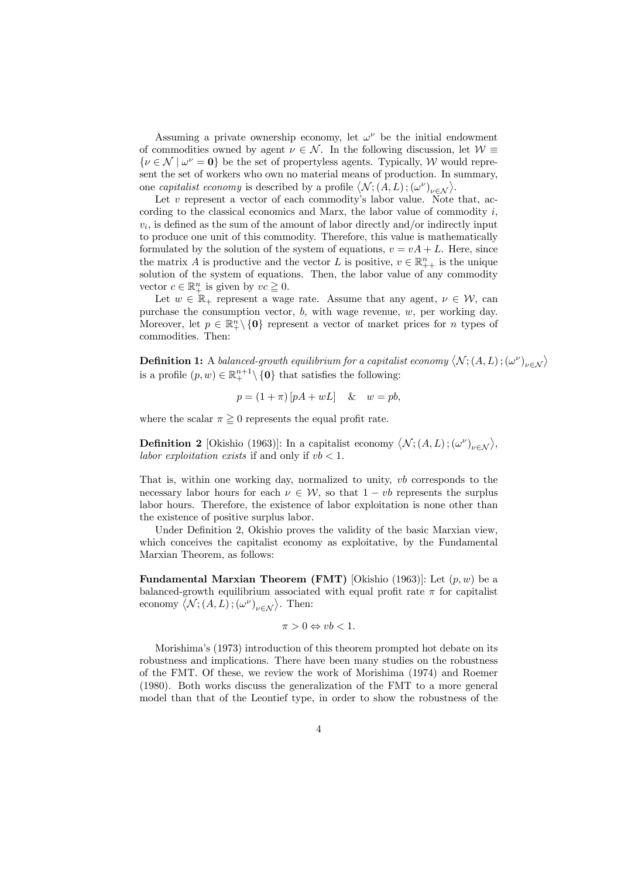Assuming a private ownership economy, let  $\omega^{\nu}$  be the initial endowment of commodities owned by agent  $\nu \in \mathcal{N}$ . In the following discussion, let  $\mathcal{W} \equiv$  $\{\nu \in \mathcal{N} \mid \omega^{\nu} = 0\}$  be the set of propertyless agents. Typically, W would represent the set of workers who own no material means of production. In summary, one *capitalist economy* is described by a profile  $\langle \mathcal{N}, (A, L), (\omega^{\nu})_{\nu \in \mathcal{N}} \rangle$ .

Let  $v$  represent a vector of each commodity's labor value. Note that, according to the classical economics and Marx, the labor value of commodity  $i$ ,  $v_i$ , is defined as the sum of the amount of labor directly and/or indirectly input to produce one unit of this commodity. Therefore, this value is mathematically formulated by the solution of the system of equations,  $v = vA + L$ . Here, since the matrix A is productive and the vector L is positive,  $v \in \mathbb{R}_{++}^n$  is the unique solution of the system of equations. Then, the labor value of any commodity vector  $c \in \mathbb{R}^n_+$  is given by  $vc \geq 0$ .

Let  $w \in \mathbb{R}_+$  represent a wage rate. Assume that any agent,  $v \in \mathcal{W}$ , can purchase the consumption vector, b, with wage revenue, w, per working day. Moreover, let  $p \in \mathbb{R}^n_+ \setminus \{0\}$  represent a vector of market prices for n types of commodities. Then:

**Definition 1:** A balanced-growth equilibrium for a capitalist economy  $\langle N; (A, L); (\omega^{\nu})_{\nu \in \mathcal{N}} \rangle$ is a profile  $(p, w) \in \mathbb{R}^{n+1}_+ \setminus \{0\}$  that satisfies the following:

$$
p = (1 + \pi) [pA + wL] \quad & w = pb,
$$

where the scalar  $\pi \geq 0$  represents the equal profit rate.

**Definition 2** [Okishio (1963)]: In a capitalist economy  $\langle \mathcal{N}; (A, L); (\omega^{\nu})_{\nu \in \mathcal{N}} \rangle$ , labor exploitation exists if and only if  $vb < 1$ .

That is, within one working day, normalized to unity,  $vb$  corresponds to the necessary labor hours for each  $\nu \in \mathcal{W}$ , so that  $1 - vb$  represents the surplus labor hours. Therefore, the existence of labor exploitation is none other than the existence of positive surplus labor.

Under Definition 2, Okishio proves the validity of the basic Marxian view, which conceives the capitalist economy as exploitative, by the Fundamental Marxian Theorem, as follows:

**Fundamental Marxian Theorem (FMT)** [Okishio (1963)]: Let  $(p, w)$  be a balanced-growth equilibrium associated with equal profit rate  $\pi$  for capitalist economy  $\langle N; (A, L); (\omega^{\nu})_{\nu \in \mathcal{N}} \rangle$ . Then:

$$
\pi > 0 \Leftrightarrow vb < 1.
$$

Morishima's (1973) introduction of this theorem prompted hot debate on its robustness and implications. There have been many studies on the robustness of the FMT. Of these, we review the work of Morishima (1974) and Roemer (1980). Both works discuss the generalization of the FMT to a more general model than that of the Leontief type, in order to show the robustness of the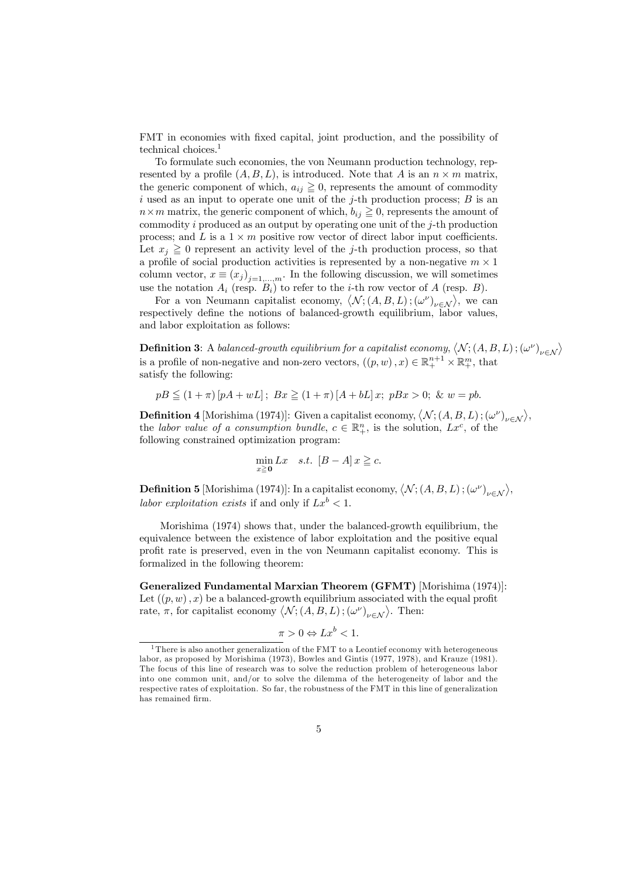FMT in economies with fixed capital, joint production, and the possibility of technical choices.1

To formulate such economies, the von Neumann production technology, represented by a profile  $(A, B, L)$ , is introduced. Note that A is an  $n \times m$  matrix, the generic component of which,  $a_{ij} \geq 0$ , represents the amount of commodity i used as an input to operate one unit of the j-th production process;  $B$  is an  $n \times m$  matrix, the generic component of which,  $b_{ij} \geq 0$ , represents the amount of commodity i produced as an output by operating one unit of the  $j$ -th production process; and L is a  $1 \times m$  positive row vector of direct labor input coefficients. Let  $x_i \geq 0$  represent an activity level of the j-th production process, so that a profile of social production activities is represented by a non-negative  $m \times 1$ column vector,  $x \equiv (x_j)_{j=1,\ldots,m}$ . In the following discussion, we will sometimes use the notation  $A_i$  (resp.  $B_i$ ) to refer to the *i*-th row vector of A (resp. B).

For a von Neumann capitalist economy,  $\langle N; (A, B, L); (\omega^{\nu})_{\nu \in \mathcal{N}} \rangle$ , we can respectively define the notions of balanced-growth equilibrium, labor values, and labor exploitation as follows:

**Definition 3:** A balanced-growth equilibrium for a capitalist economy,  $\langle N; (A, B, L); (\omega^{\nu})_{\nu \in \mathcal{N}} \rangle$ is a profile of non-negative and non-zero vectors,  $((p, w), x) \in \mathbb{R}^{n+1}_+ \times \mathbb{R}^m_+$ , that satisfy the following:

$$
pB \le (1+\pi)[pA + wL]; \ Bx \ge (1+\pi)[A + bL]x; \ pBx > 0; \ \& \ w = pb.
$$

**Definition 4** [Morishima (1974)]: Given a capitalist economy,  $\langle N; (A, B, L); (\omega^{\nu})_{\nu \in \mathcal{N}} \rangle$ , the labor value of a consumption bundle,  $c \in \mathbb{R}^n_+$ , is the solution,  $Lx^c$ , of the following constrained optimization program:

$$
\min_{x \ge 0} Lx \quad s.t. \ [B-A] \, x \ge c.
$$

**Definition 5** [Morishima (1974)]: In a capitalist economy,  $\langle N; (A, B, L); (\omega^{\nu})_{\nu \in \mathcal{N}} \rangle$ , labor exploitation exists if and only if  $Lx^b < 1$ .

Morishima (1974) shows that, under the balanced-growth equilibrium, the equivalence between the existence of labor exploitation and the positive equal profit rate is preserved, even in the von Neumann capitalist economy. This is formalized in the following theorem:

Generalized Fundamental Marxian Theorem (GFMT) [Morishima (1974)]: Let  $((p, w), x)$  be a balanced-growth equilibrium associated with the equal profit rate,  $\pi$ , for capitalist economy  $\langle \mathcal{N};(A,B,L);(\omega^{\nu})_{\nu\in\mathcal{N}}\rangle$ . Then:

$$
\pi > 0 \Leftrightarrow Lx^b < 1.
$$

<sup>&</sup>lt;sup>1</sup>There is also another generalization of the FMT to a Leontief economy with heterogeneous labor, as proposed by Morishima (1973), Bowles and Gintis (1977, 1978), and Krauze (1981). The focus of this line of research was to solve the reduction problem of heterogeneous labor into one common unit, and/or to solve the dilemma of the heterogeneity of labor and the respective rates of exploitation. So far, the robustness of the FMT in this line of generalization has remained firm.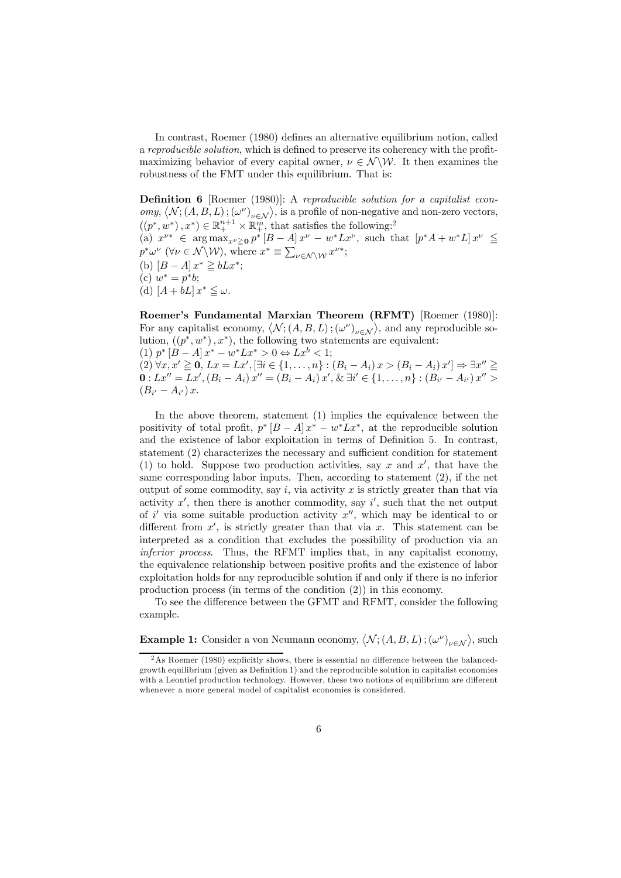In contrast, Roemer (1980) defines an alternative equilibrium notion, called a reproducible solution, which is defined to preserve its coherency with the profitmaximizing behavior of every capital owner,  $\nu \in \mathcal{N} \setminus \mathcal{W}$ . It then examines the robustness of the FMT under this equilibrium. That is:

Definition 6 [Roemer (1980)]: A reproducible solution for a capitalist economy,  $\langle \mathcal{N}; (A, B, L); (\omega^{\nu})_{\nu \in \mathcal{N}} \rangle$ , is a profile of non-negative and non-zero vectors,  $((p^*, w^*), x^*) \in \mathbb{R}^{n+1}_+ \times \mathbb{R}^m_+$ , that satisfies the following:<sup>2</sup> (a)  $x^{\nu*} \in \arg \max_{x^{\nu} \geq 0} p^* [B - A] x^{\nu} - w^* L x^{\nu}$ , such that  $[p^* A + w^* L] x^{\nu} \leq$  $p^* \omega^{\nu}$  ( $\forall \nu \in \mathcal{N} \backslash \mathcal{W}$ ), where  $x^* \equiv \sum_{\nu \in \mathcal{N} \backslash \mathcal{W}} x^{\nu^*};$ (b)  $[B - A] x^* \geq bLx^*;$ (c)  $w^* = p^*b;$ (d)  $[A + bL] x^* \leq \omega$ .

Roemer's Fundamental Marxian Theorem (RFMT) [Roemer (1980)]: For any capitalist economy,  $\langle \mathcal{N}; (A, B, L); (\omega^{\nu})_{\nu \in \mathcal{N}} \rangle$ , and any reproducible solution,  $((p^*, w^*), x^*)$ , the following two statements are equivalent: (1)  $p^* [B - A] x^* - w^* L x^* > 0 \Leftrightarrow L x^b < 1;$  $(2) \forall x, x' \geq 0, Lx = Lx', \exists i \in \{1, ..., n\} : (B_i - A_i)x > (B_i - A_i)x' \Rightarrow \exists x'' \geq 0$ **0** : Lx<sup>n</sup> = Lx', (B<sub>i</sub> − A<sub>i</sub>) x'' = (B<sub>i</sub> − A<sub>i</sub>) x', & ∃i' ∈ {1, ..., n} : (B<sub>i'</sub> − A<sub>i'</sub>) x'' >  $(B_{i'} - A_{i'}) x.$ 

In the above theorem, statement (1) implies the equivalence between the positivity of total profit,  $p^* [B - A] x^* - w^* L x^*$ , at the reproducible solution and the existence of labor exploitation in terms of Definition 5. In contrast, statement (2) characterizes the necessary and sufficient condition for statement (1) to hold. Suppose two production activities, say x and  $x'$ , that have the same corresponding labor inputs. Then, according to statement (2), if the net output of some commodity, say  $i$ , via activity  $x$  is strictly greater than that via activity  $x'$ , then there is another commodity, say i', such that the net output of i' via some suitable production activity  $x''$ , which may be identical to or different from  $x'$ , is strictly greater than that via x. This statement can be interpreted as a condition that excludes the possibility of production via an inferior process. Thus, the RFMT implies that, in any capitalist economy, the equivalence relationship between positive profits and the existence of labor exploitation holds for any reproducible solution if and only if there is no inferior production process (in terms of the condition (2)) in this economy.

To see the difference between the GFMT and RFMT, consider the following example.

**Example 1:** Consider a von Neumann economy,  $\langle N; (A, B, L); (\omega^{\nu})_{\nu \in \mathcal{N}} \rangle$ , such

<sup>&</sup>lt;sup>2</sup>As Roemer (1980) explicitly shows, there is essential no difference between the balancedgrowth equilibrium (given as Definition 1) and the reproducible solution in capitalist economies with a Leontief production technology. However, these two notions of equilibrium are different whenever a more general model of capitalist economies is considered.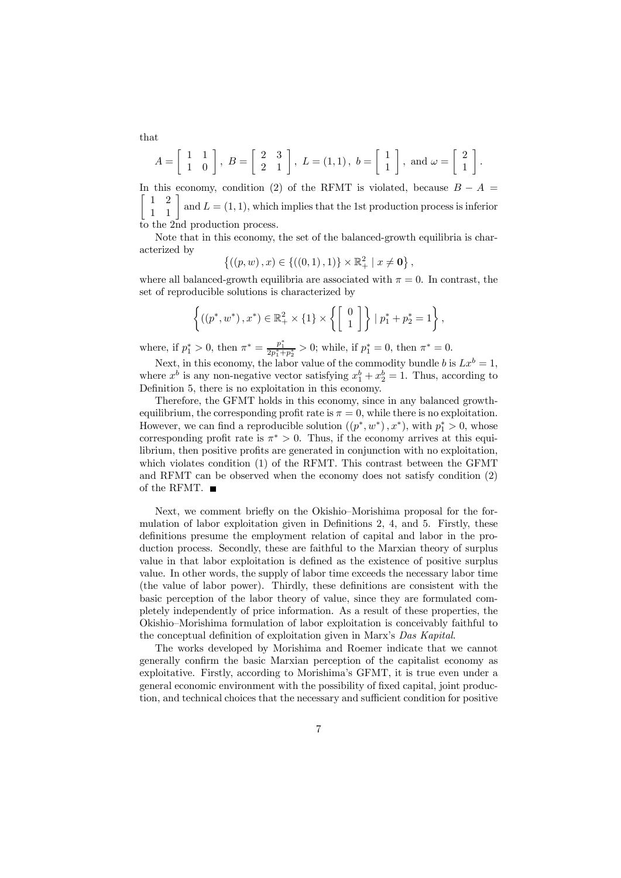$$
A = \begin{bmatrix} 1 & 1 \\ 1 & 0 \end{bmatrix}, B = \begin{bmatrix} 2 & 3 \\ 2 & 1 \end{bmatrix}, L = (1,1), b = \begin{bmatrix} 1 \\ 1 \end{bmatrix}, \text{ and } \omega = \begin{bmatrix} 2 \\ 1 \end{bmatrix}.
$$

In this economy, condition (2) of the RFMT is violated, because  $B - A =$  $\begin{bmatrix} 1 & 2 \\ 1 & 1 \end{bmatrix}$ and  $L = (1, 1)$ , which implies that the 1st production process is inferior to the 2nd production process.

Note that in this economy, the set of the balanced-growth equilibria is characterized by

$$
\{((p, w), x) \in \{((0, 1), 1)\} \times \mathbb{R}^2_+ \mid x \neq \mathbf{0}\},\
$$

where all balanced-growth equilibria are associated with  $\pi = 0$ . In contrast, the set of reproducible solutions is characterized by

$$
\left\{ \left( \left( p^*, w^* \right), x^* \right) \in \mathbb{R}_+^2 \times \{1\} \times \left\{ \left[ \begin{array}{c} 0 \\ 1 \end{array} \right] \right\} \mid p_1^* + p_2^* = 1 \right\},\
$$

where, if  $p_1^* > 0$ , then  $\pi^* = \frac{p_1^*}{2p_1^* + p_2^*} > 0$ ; while, if  $p_1^* = 0$ , then  $\pi^* = 0$ .

Next, in this economy, the labor value of the commodity bundle b is  $Lx^b = 1$ , where  $x^b$  is any non-negative vector satisfying  $x_1^b + x_2^b = 1$ . Thus, according to Definition 5, there is no exploitation in this economy.

Therefore, the GFMT holds in this economy, since in any balanced growthequilibrium, the corresponding profit rate is  $\pi = 0$ , while there is no exploitation. However, we can find a reproducible solution  $((p^*, w^*), x^*)$ , with  $p_1^* > 0$ , whose corresponding profit rate is  $\pi^* > 0$ . Thus, if the economy arrives at this equilibrium, then positive profits are generated in conjunction with no exploitation, which violates condition (1) of the RFMT. This contrast between the GFMT and RFMT can be observed when the economy does not satisfy condition (2) of the RFMT.  $\blacksquare$ 

Next, we comment briefly on the Okishio—Morishima proposal for the formulation of labor exploitation given in Definitions 2, 4, and 5. Firstly, these definitions presume the employment relation of capital and labor in the production process. Secondly, these are faithful to the Marxian theory of surplus value in that labor exploitation is defined as the existence of positive surplus value. In other words, the supply of labor time exceeds the necessary labor time (the value of labor power). Thirdly, these definitions are consistent with the basic perception of the labor theory of value, since they are formulated completely independently of price information. As a result of these properties, the Okishio—Morishima formulation of labor exploitation is conceivably faithful to the conceptual definition of exploitation given in Marx's Das Kapital.

The works developed by Morishima and Roemer indicate that we cannot generally confirm the basic Marxian perception of the capitalist economy as exploitative. Firstly, according to Morishima's GFMT, it is true even under a general economic environment with the possibility of fixed capital, joint production, and technical choices that the necessary and sufficient condition for positive

that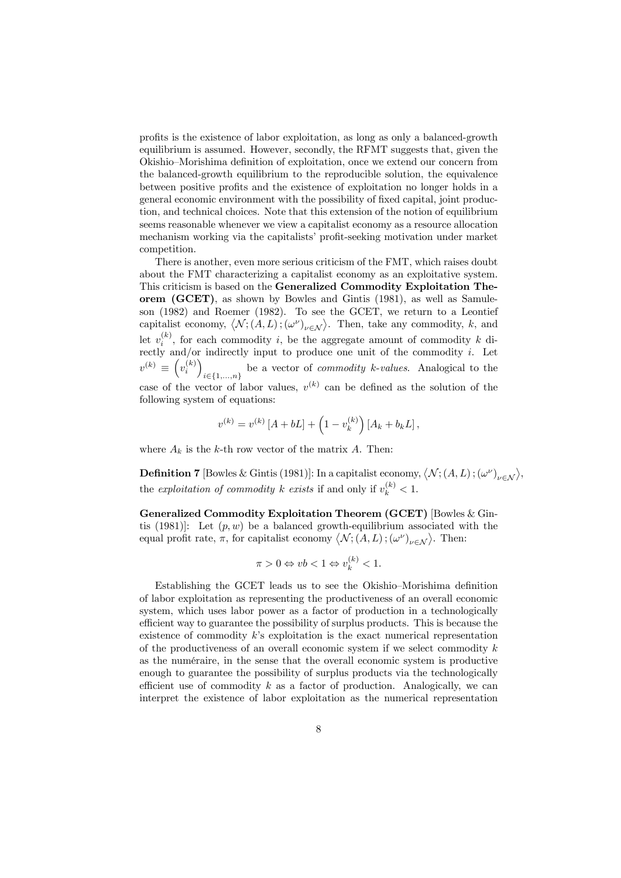profits is the existence of labor exploitation, as long as only a balanced-growth equilibrium is assumed. However, secondly, the RFMT suggests that, given the Okishio—Morishima definition of exploitation, once we extend our concern from the balanced-growth equilibrium to the reproducible solution, the equivalence between positive profits and the existence of exploitation no longer holds in a general economic environment with the possibility of fixed capital, joint production, and technical choices. Note that this extension of the notion of equilibrium seems reasonable whenever we view a capitalist economy as a resource allocation mechanism working via the capitalists' profit-seeking motivation under market competition.

There is another, even more serious criticism of the FMT, which raises doubt about the FMT characterizing a capitalist economy as an exploitative system. This criticism is based on the Generalized Commodity Exploitation Theorem (GCET), as shown by Bowles and Gintis (1981), as well as Samuleson (1982) and Roemer (1982). To see the GCET, we return to a Leontief capitalist economy,  $\langle N; (\hat{A}, L); (\omega^{\nu})_{\nu \in \mathcal{N}} \rangle$ . Then, take any commodity, k, and let  $v_i^{(k)}$ , for each commodity i, be the aggregate amount of commodity k directly and/or indirectly input to produce one unit of the commodity i. Let  $v^{(k)} \equiv \left(v_i^{(k)}\right)$ i∈{1,...,n} be a vector of commodity k-values. Analogical to the case of the vector of labor values,  $v^{(k)}$  can be defined as the solution of the following system of equations:

$$
v^{(k)} = v^{(k)} [A + bL] + (1 - v_k^{(k)}) [A_k + b_k L],
$$

where  $A_k$  is the k-th row vector of the matrix A. Then:

**Definition 7** [Bowles & Gintis (1981)]: In a capitalist economy,  $\langle N; (A, L); (\omega^{\nu})_{\nu \in \mathcal{N}} \rangle$ , the exploitation of commodity k exists if and only if  $v_k^{(k)} < 1$ .

Generalized Commodity Exploitation Theorem (GCET) [Bowles & Gintis (1981). Let  $(p, w)$  be a balanced growth-equilibrium associated with the equal profit rate,  $\pi$ , for capitalist economy  $\langle \mathcal{N};(A,L);(\omega^{\nu})_{\nu\in\mathcal{N}}\rangle$ . Then:

$$
\pi > 0 \Leftrightarrow vb < 1 \Leftrightarrow v_k^{(k)} < 1.
$$

Establishing the GCET leads us to see the Okishio—Morishima definition of labor exploitation as representing the productiveness of an overall economic system, which uses labor power as a factor of production in a technologically efficient way to guarantee the possibility of surplus products. This is because the existence of commodity k's exploitation is the exact numerical representation of the productiveness of an overall economic system if we select commodity  $k$ as the numéraire, in the sense that the overall economic system is productive enough to guarantee the possibility of surplus products via the technologically efficient use of commodity  $k$  as a factor of production. Analogically, we can interpret the existence of labor exploitation as the numerical representation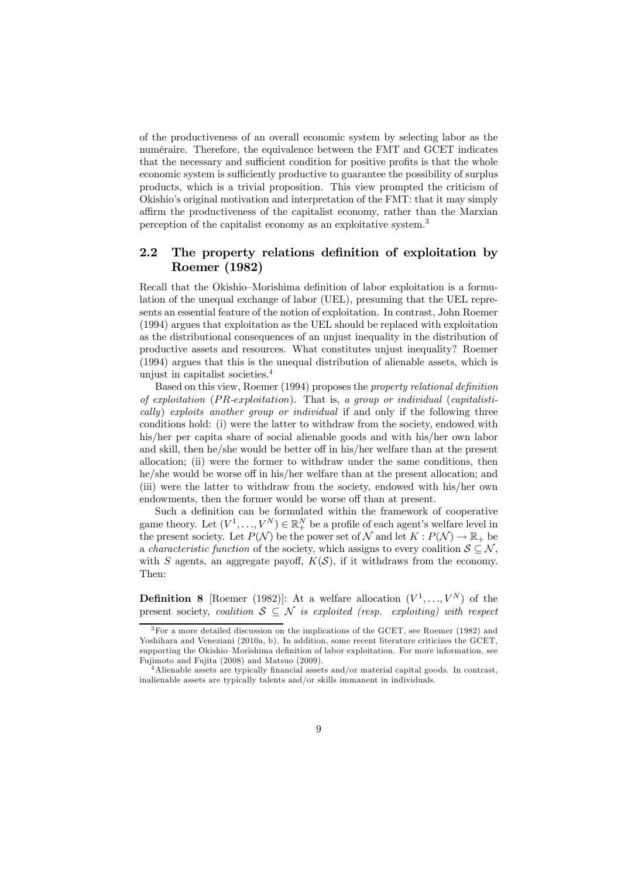of the productiveness of an overall economic system by selecting labor as the numéraire. Therefore, the equivalence between the FMT and GCET indicates that the necessary and sufficient condition for positive profits is that the whole economic system is sufficiently productive to guarantee the possibility of surplus products, which is a trivial proposition. This view prompted the criticism of Okishio's original motivation and interpretation of the FMT: that it may simply affirm the productiveness of the capitalist economy, rather than the Marxian perception of the capitalist economy as an exploitative system.3

#### 2.2 The property relations definition of exploitation by Roemer (1982)

Recall that the Okishio—Morishima definition of labor exploitation is a formulation of the unequal exchange of labor (UEL), presuming that the UEL represents an essential feature of the notion of exploitation. In contrast, John Roemer (1994) argues that exploitation as the UEL should be replaced with exploitation as the distributional consequences of an unjust inequality in the distribution of productive assets and resources. What constitutes unjust inequality? Roemer (1994) argues that this is the unequal distribution of alienable assets, which is unjust in capitalist societies.<sup>4</sup>

Based on this view, Roemer (1994) proposes the property relational definition of exploitation ( $PR\text{-}exploitation$ ). That is, a group or individual (capitalistically) exploits another group or individual if and only if the following three conditions hold: (i) were the latter to withdraw from the society, endowed with his/her per capita share of social alienable goods and with his/her own labor and skill, then he/she would be better off in his/her welfare than at the present allocation; (ii) were the former to withdraw under the same conditions, then he/she would be worse off in his/her welfare than at the present allocation; and (iii) were the latter to withdraw from the society, endowed with his/her own endowments, then the former would be worse off than at present.

Such a definition can be formulated within the framework of cooperative game theory. Let  $(V^1, ..., V^N) \in \mathbb{R}^N_+$  be a profile of each agent's welfare level in the present society. Let  $P(\mathcal{N})$  be the power set of  $\mathcal N$  and let  $K: P(\mathcal{N}) \to \mathbb{R}_+$  be a *characteristic function* of the society, which assigns to every coalition  $S \subseteq \mathcal{N}$ , with S agents, an aggregate payoff,  $K(S)$ , if it withdraws from the economy. Then:

**Definition 8** [Roemer (1982)]: At a welfare allocation  $(V^1, \ldots, V^N)$  of the present society, coalition  $S \subseteq N$  is exploited (resp. exploiting) with respect

<sup>3</sup>For a more detailed discussion on the implications of the GCET, see Roemer (1982) and Yoshihara and Veneziani (2010a, b). In addition, some recent literature criticizes the GCET, supporting the Okishio—Morishima definition of labor exploitation. For more information, see Fujimoto and Fujita (2008) and Matsuo (2009).

 $^{4}$ Alienable assets are typically financial assets and/or material capital goods. In contrast, inalienable assets are typically talents and/or skills immanent in individuals.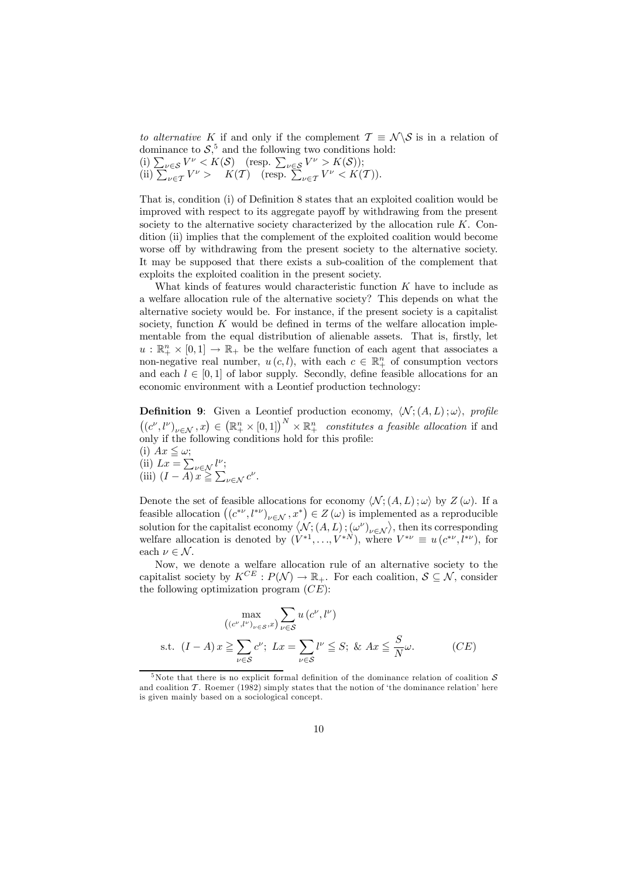to alternative K if and only if the complement  $\mathcal{T} \equiv \mathcal{N} \setminus \mathcal{S}$  is in a relation of dominance to  $S$ <sup>5</sup>, and the following two conditions hold:

(i)  $\sum_{\nu \in \mathcal{S}} V^{\nu} < K(\mathcal{S})$  (resp.  $\sum_{\nu \in \mathcal{S}} V^{\nu} > K(\mathcal{S})$ );<br>
(ii)  $\sum_{\nu \in \mathcal{T}} V^{\nu} > K(\mathcal{T})$  (resp.  $\sum_{\nu \in \mathcal{T}} V^{\nu} < K(\mathcal{T})$ ).

That is, condition (i) of Definition 8 states that an exploited coalition would be improved with respect to its aggregate payoff by withdrawing from the present society to the alternative society characterized by the allocation rule  $K$ . Condition (ii) implies that the complement of the exploited coalition would become worse off by withdrawing from the present society to the alternative society. It may be supposed that there exists a sub-coalition of the complement that exploits the exploited coalition in the present society.

What kinds of features would characteristic function K have to include as a welfare allocation rule of the alternative society? This depends on what the alternative society would be. For instance, if the present society is a capitalist society, function  $K$  would be defined in terms of the welfare allocation implementable from the equal distribution of alienable assets. That is, firstly, let  $u : \mathbb{R}_+^n \times [0,1] \to \mathbb{R}_+$  be the welfare function of each agent that associates a non-negative real number,  $u(c, l)$ , with each  $c \in \mathbb{R}^n_+$  of consumption vectors and each  $l \in [0,1]$  of labor supply. Secondly, define feasible allocations for an economic environment with a Leontief production technology:

**Definition 9:** Given a Leontief production economy,  $\langle \mathcal{N}; (A, L); \omega \rangle$ , profile  $((c^{\nu}, l^{\nu})_{\nu \in \mathcal{N}}, x) \in (\mathbb{R}_+^n \times [0, 1])^N \times \mathbb{R}_+^n$  constitutes a feasible allocation if and only if the following conditions hold for this profile:

(i)  $Ax \leq \omega$ ; (ii)  $Lx = \sum_{\nu \in \mathcal{N}} l^{\nu};$ (iii)  $(I - \overline{A})x \geq \sum_{\nu \in \mathcal{N}} c^{\nu}$ .

Denote the set of feasible allocations for economy  $\langle \mathcal{N}; (A, L); \omega \rangle$  by  $Z(\omega)$ . If a feasible allocation  $((c^{*\nu}, l^{*\nu})_{\nu \in \mathcal{N}}, x^*) \in Z(\omega)$  is implemented as a reproducible solution for the capitalist economy  $\langle N; (A, L); (\omega^{\nu})_{\nu \in \mathcal{N}} \rangle$ , then its corresponding welfare allocation is denoted by  $(V^{*1}, \ldots, V^{*N})$ , where  $V^{*\nu} \equiv u(c^{*\nu}, l^{*\nu})$ , for each  $\nu \in \mathcal{N}$ .

Now, we denote a welfare allocation rule of an alternative society to the capitalist society by  $K^{CE}: P(\mathcal{N}) \to \mathbb{R}_+$ . For each coalition,  $\mathcal{S} \subseteq \mathcal{N}$ , consider the following optimization program  $(CE)$ :

$$
\max_{((c^{\nu}, l^{\nu})_{\nu \in S}, x)} \sum_{\nu \in S} u(c^{\nu}, l^{\nu})
$$
  
s.t.  $(I - A)x \ge \sum_{\nu \in S} c^{\nu}; Lx = \sum_{\nu \in S} l^{\nu} \le S; \& Ax \le \frac{S}{N} \omega.$  (CE)

<sup>&</sup>lt;sup>5</sup>Note that there is no explicit formal definition of the dominance relation of coalition  $S$ and coalition  $\mathcal T$ . Roemer (1982) simply states that the notion of 'the dominance relation' here is given mainly based on a sociological concept.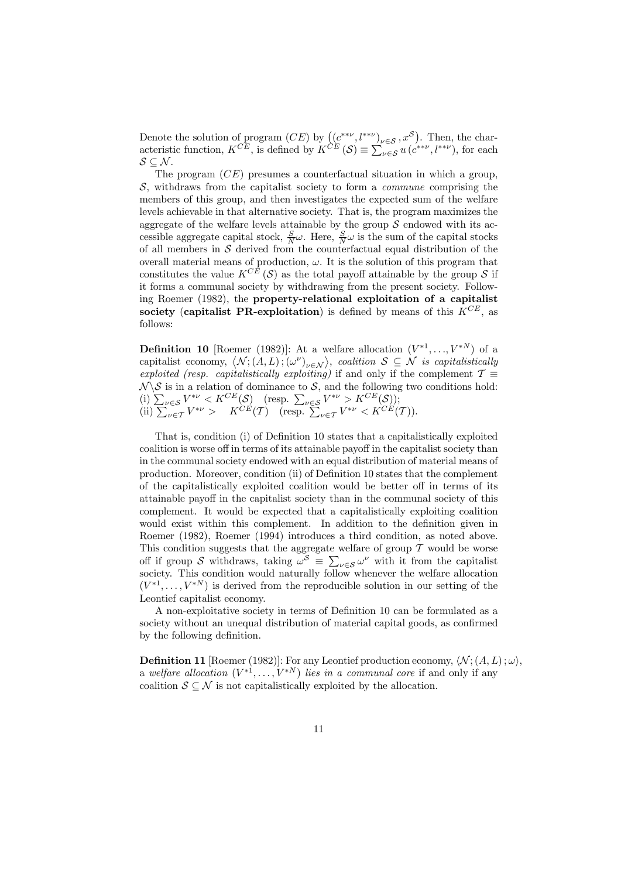Denote the solution of program  $(CE)$  by  $((c^{**}\nu, l^{**}\nu)_{\nu \in S}, x^S)$ . Then, the characteristic function,  $K^{CE}$ , is defined by  $K^{\tilde{CE}}(\mathcal{S}) \equiv \sum_{\nu \in \mathcal{S}} u\left(e^{**\nu}, l^{**\nu}\right)$ , for each  $S \subseteq \mathcal{N}$ .

The program  $(CE)$  presumes a counterfactual situation in which a group,  $S$ , withdraws from the capitalist society to form a *commune* comprising the members of this group, and then investigates the expected sum of the welfare levels achievable in that alternative society. That is, the program maximizes the aggregate of the welfare levels attainable by the group  $S$  endowed with its accessible aggregate capital stock,  $\frac{S}{N}\omega$ . Here,  $\frac{S}{N}\omega$  is the sum of the capital stocks of all members in  $S$  derived from the counterfactual equal distribution of the overall material means of production,  $\omega$ . It is the solution of this program that constitutes the value  $K^{C\overline{E}}(\mathcal{S})$  as the total payoff attainable by the group  $\mathcal{S}$  if it forms a communal society by withdrawing from the present society. Following Roemer (1982), the property-relational exploitation of a capitalist society (capitalist PR-exploitation) is defined by means of this  $K^{CE}$ , as follows:

**Definition 10** [Roemer (1982)]: At a welfare allocation  $(V^{*1}, \ldots, V^{*N})$  of a capitalist economy,  $\langle N; (A, L); (\omega^{\nu})_{\nu \in \mathcal{N}} \rangle$ , coalition  $S \subseteq \mathcal{N}$  is capitalistically exploited (resp. capitalistically exploiting) if and only if the complement  $\mathcal{T} \equiv$  $\mathcal{N} \setminus \mathcal{S}$  is in a relation of dominance to  $\mathcal{S}$ , and the following two conditions hold: (i)  $\sum_{\nu \in S} V^{*\nu} < K^{CE}(S)$  (resp.  $\sum_{\nu \in S} V^{*\nu} > K^{CE}(S)$ );<br>
(ii)  $\sum_{\nu \in T} V^{*\nu} > K^{CE}(T)$  (resp.  $\sum_{\nu \in T} V^{*\nu} < K^{CE}(T)$ ).

That is, condition (i) of Definition 10 states that a capitalistically exploited coalition is worse off in terms of its attainable payoff in the capitalist society than in the communal society endowed with an equal distribution of material means of production. Moreover, condition (ii) of Definition 10 states that the complement of the capitalistically exploited coalition would be better off in terms of its attainable payoff in the capitalist society than in the communal society of this complement. It would be expected that a capitalistically exploiting coalition would exist within this complement. In addition to the definition given in Roemer (1982), Roemer (1994) introduces a third condition, as noted above. This condition suggests that the aggregate welfare of group  $T$  would be worse off if group S withdraws, taking  $\omega^S = \sum_{\nu \in S} \omega^{\nu}$  with it from the capitalist society. This condition would naturally follow whenever the welfare allocation  $(V^{*1}, \ldots, V^{*N})$  is derived from the reproducible solution in our setting of the Leontief capitalist economy.

A non-exploitative society in terms of Definition 10 can be formulated as a society without an unequal distribution of material capital goods, as confirmed by the following definition.

**Definition 11** [Roemer (1982)]: For any Leontief production economy,  $\langle N; (A, L); \omega \rangle$ , a welfare allocation  $(V^{*1}, \ldots, V^{*N})$  lies in a communal core if and only if any coalition  $S \subseteq \mathcal{N}$  is not capitalistically exploited by the allocation.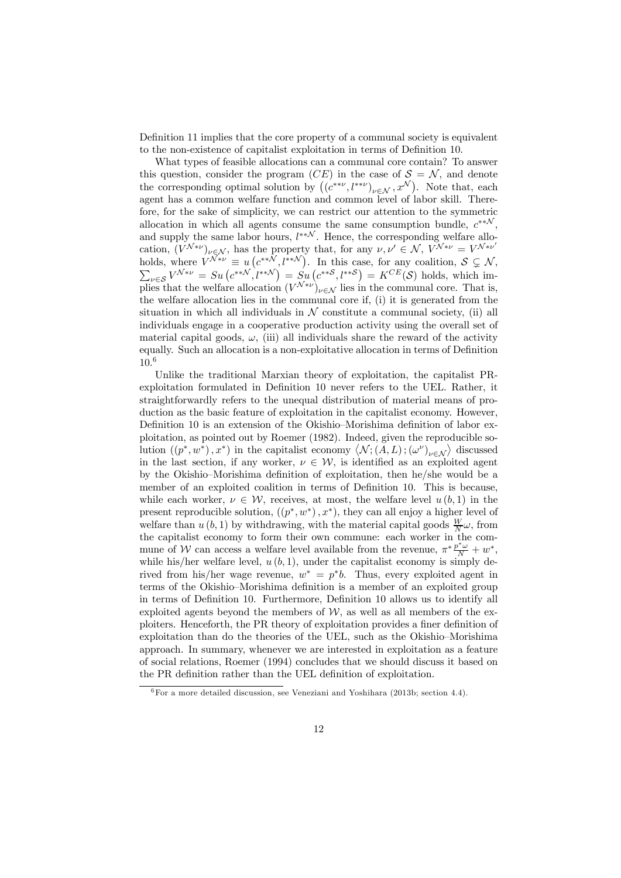Definition 11 implies that the core property of a communal society is equivalent to the non-existence of capitalist exploitation in terms of Definition 10.

What types of feasible allocations can a communal core contain? To answer this question, consider the program (CE) in the case of  $S = \mathcal{N}$ , and denote the corresponding optimal solution by  $((e^{**\nu}, l^{**\nu})_{\nu \in \mathcal{N}}, x^{\mathcal{N}})$ . Note that, each agent has a common welfare function and common level of labor skill. Therefore, for the sake of simplicity, we can restrict our attention to the symmetric allocation in which all agents consume the same consumption bundle,  $c^{**N}$ . and supply the same labor hours,  $l^{**N}$ . Hence, the corresponding welfare allocation,  $(V^{\mathcal{N}*\nu})_{\nu \in \mathcal{N}}$ , has the property that, for any  $\nu, \nu' \in \mathcal{N}$ ,  $V^{\mathcal{N}*\nu} = V^{\mathcal{N}*\nu'}$ holds, where  $\overline{V^{N*\nu}} \equiv u\left(e^{**N}, l^{**N}\right)$ . In this case, for any coalition,  $S \subsetneq N$ ,  $\sum_{\nu \in S} V^{\mathcal{N}*\nu} = S u\left(e^{**N}, l^{**N}\right) = S u\left(e^{**S}, l^{**S}\right) = K^{CE}(\mathcal{S})$  holds, which implies that the welfare allocation  $(V^{\mathcal{N}*\nu})_{\nu\in\mathcal{N}}$  lies in the communal core. That is, the welfare allocation lies in the communal core if, (i) it is generated from the situation in which all individuals in  $N$  constitute a communal society, (ii) all individuals engage in a cooperative production activity using the overall set of material capital goods,  $\omega$ , (iii) all individuals share the reward of the activity equally. Such an allocation is a non-exploitative allocation in terms of Definition 10.<sup>6</sup>

Unlike the traditional Marxian theory of exploitation, the capitalist PRexploitation formulated in Definition 10 never refers to the UEL. Rather, it straightforwardly refers to the unequal distribution of material means of production as the basic feature of exploitation in the capitalist economy. However, Definition 10 is an extension of the Okishio—Morishima definition of labor exploitation, as pointed out by Roemer (1982). Indeed, given the reproducible solution  $((p^*, w^*), x^*)$  in the capitalist economy  $\langle \mathcal{N}, (\overline{A}, L), (\omega^{\nu})_{\nu \in \mathcal{N}} \rangle$  discussed in the last section, if any worker,  $\nu \in \mathcal{W}$ , is identified as an exploited agent by the Okishio—Morishima definition of exploitation, then he/she would be a member of an exploited coalition in terms of Definition 10. This is because, while each worker,  $\nu \in \mathcal{W}$ , receives, at most, the welfare level  $u(b, 1)$  in the present reproducible solution,  $((p^*, w^*), x^*)$ , they can all enjoy a higher level of welfare than  $u(b, 1)$  by withdrawing, with the material capital goods  $\frac{W}{N}\omega$ , from the capitalist economy to form their own commune: each worker in the commune of W can access a welfare level available from the revenue,  $\pi^* \frac{p^* \omega}{N} + w^*$ , while his/her welfare level,  $u(b, 1)$ , under the capitalist economy is simply derived from his/her wage revenue,  $w^* = p^*b$ . Thus, every exploited agent in terms of the Okishio—Morishima definition is a member of an exploited group in terms of Definition 10. Furthermore, Definition 10 allows us to identify all exploited agents beyond the members of  $W$ , as well as all members of the exploiters. Henceforth, the PR theory of exploitation provides a finer definition of exploitation than do the theories of the UEL, such as the Okishio—Morishima approach. In summary, whenever we are interested in exploitation as a feature of social relations, Roemer (1994) concludes that we should discuss it based on the PR definition rather than the UEL definition of exploitation.

 $6$ For a more detailed discussion, see Veneziani and Yoshihara (2013b; section 4.4).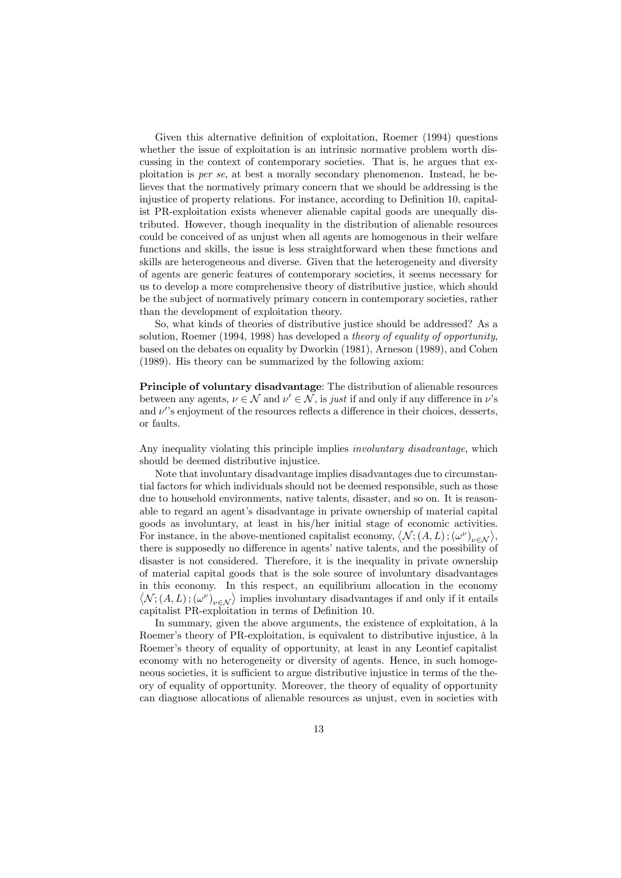Given this alternative definition of exploitation, Roemer (1994) questions whether the issue of exploitation is an intrinsic normative problem worth discussing in the context of contemporary societies. That is, he argues that exploitation is per se, at best a morally secondary phenomenon. Instead, he believes that the normatively primary concern that we should be addressing is the injustice of property relations. For instance, according to Definition 10, capitalist PR-exploitation exists whenever alienable capital goods are unequally distributed. However, though inequality in the distribution of alienable resources could be conceived of as unjust when all agents are homogenous in their welfare functions and skills, the issue is less straightforward when these functions and skills are heterogeneous and diverse. Given that the heterogeneity and diversity of agents are generic features of contemporary societies, it seems necessary for us to develop a more comprehensive theory of distributive justice, which should be the subject of normatively primary concern in contemporary societies, rather than the development of exploitation theory.

So, what kinds of theories of distributive justice should be addressed? As a solution, Roemer (1994, 1998) has developed a theory of equality of opportunity, based on the debates on equality by Dworkin (1981), Arneson (1989), and Cohen (1989). His theory can be summarized by the following axiom:

Principle of voluntary disadvantage: The distribution of alienable resources between any agents,  $\nu \in \mathcal{N}$  and  $\nu' \in \mathcal{N}$ , is just if and only if any difference in  $\nu$ 's and  $\nu$ 's enjoyment of the resources reflects a difference in their choices, desserts, or faults.

Any inequality violating this principle implies *involuntary disadvantage*, which should be deemed distributive injustice.

Note that involuntary disadvantage implies disadvantages due to circumstantial factors for which individuals should not be deemed responsible, such as those due to household environments, native talents, disaster, and so on. It is reasonable to regard an agent's disadvantage in private ownership of material capital goods as involuntary, at least in his/her initial stage of economic activities. For instance, in the above-mentioned capitalist economy,  $\langle \mathcal{N};(A,L);(\omega^{\nu})_{\nu\in\mathcal{N}}\rangle$ , there is supposedly no difference in agents' native talents, and the possibility of disaster is not considered. Therefore, it is the inequality in private ownership of material capital goods that is the sole source of involuntary disadvantages in this economy. In this respect, an equilibrium allocation in the economy  $\langle \mathcal{N};(A,L);(\omega^{\nu})_{\nu\in\mathcal{N}}\rangle$  implies involuntary disadvantages if and only if it entails capitalist PR-exploitation in terms of Definition 10.

In summary, given the above arguments, the existence of exploitation, à la Roemer's theory of PR-exploitation, is equivalent to distributive injustice, à la Roemer's theory of equality of opportunity, at least in any Leontief capitalist economy with no heterogeneity or diversity of agents. Hence, in such homogeneous societies, it is sufficient to argue distributive injustice in terms of the theory of equality of opportunity. Moreover, the theory of equality of opportunity can diagnose allocations of alienable resources as unjust, even in societies with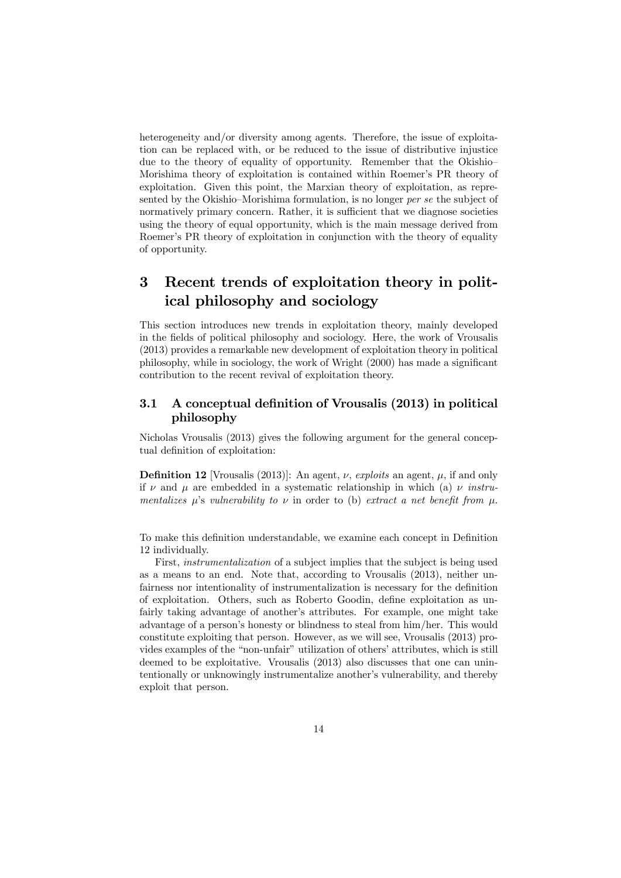heterogeneity and/or diversity among agents. Therefore, the issue of exploitation can be replaced with, or be reduced to the issue of distributive injustice due to the theory of equality of opportunity. Remember that the Okishio— Morishima theory of exploitation is contained within Roemer's PR theory of exploitation. Given this point, the Marxian theory of exploitation, as represented by the Okishio—Morishima formulation, is no longer per se the subject of normatively primary concern. Rather, it is sufficient that we diagnose societies using the theory of equal opportunity, which is the main message derived from Roemer's PR theory of exploitation in conjunction with the theory of equality of opportunity.

### 3 Recent trends of exploitation theory in political philosophy and sociology

This section introduces new trends in exploitation theory, mainly developed in the fields of political philosophy and sociology. Here, the work of Vrousalis (2013) provides a remarkable new development of exploitation theory in political philosophy, while in sociology, the work of Wright (2000) has made a significant contribution to the recent revival of exploitation theory.

#### 3.1 A conceptual definition of Vrousalis (2013) in political philosophy

Nicholas Vrousalis (2013) gives the following argument for the general conceptual definition of exploitation:

**Definition 12** [Vrousalis (2013)]: An agent,  $\nu$ , exploits an agent,  $\mu$ , if and only if  $\nu$  and  $\mu$  are embedded in a systematic relationship in which (a)  $\nu$  instrumentalizes  $\mu$ 's vulnerability to  $\nu$  in order to (b) extract a net benefit from  $\mu$ .

To make this definition understandable, we examine each concept in Definition 12 individually.

First, instrumentalization of a subject implies that the subject is being used as a means to an end. Note that, according to Vrousalis (2013), neither unfairness nor intentionality of instrumentalization is necessary for the definition of exploitation. Others, such as Roberto Goodin, define exploitation as unfairly taking advantage of another's attributes. For example, one might take advantage of a person's honesty or blindness to steal from him/her. This would constitute exploiting that person. However, as we will see, Vrousalis (2013) provides examples of the "non-unfair" utilization of others' attributes, which is still deemed to be exploitative. Vrousalis (2013) also discusses that one can unintentionally or unknowingly instrumentalize another's vulnerability, and thereby exploit that person.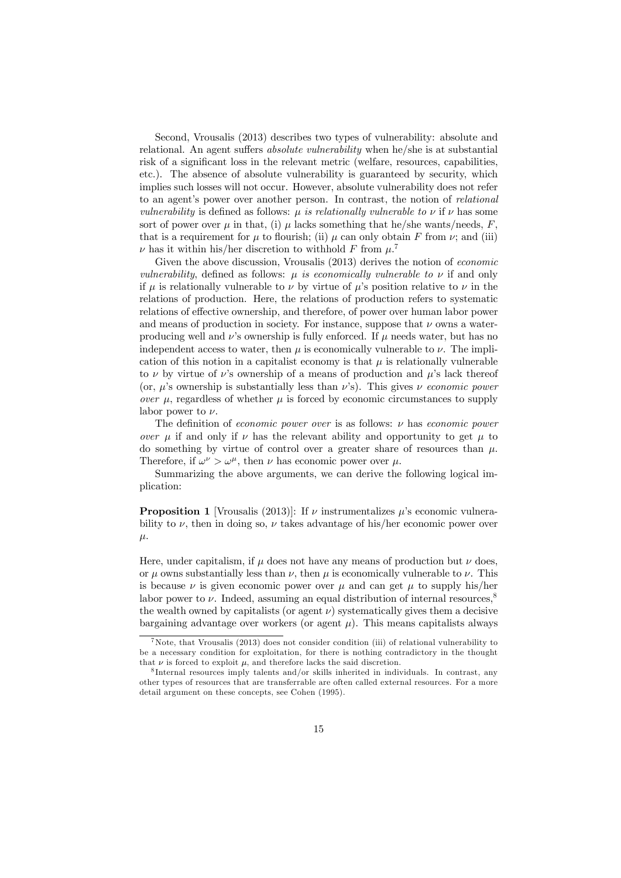Second, Vrousalis (2013) describes two types of vulnerability: absolute and relational. An agent suffers absolute vulnerability when he/she is at substantial risk of a significant loss in the relevant metric (welfare, resources, capabilities, etc.). The absence of absolute vulnerability is guaranteed by security, which implies such losses will not occur. However, absolute vulnerability does not refer to an agent's power over another person. In contrast, the notion of relational *vulnerability* is defined as follows:  $\mu$  is relationally vulnerable to  $\nu$  if  $\nu$  has some sort of power over  $\mu$  in that, (i)  $\mu$  lacks something that he/she wants/needs, F, that is a requirement for  $\mu$  to flourish; (ii)  $\mu$  can only obtain F from  $\nu$ ; and (iii)  $\nu$  has it within his/her discretion to withhold F from  $\mu$ .<sup>7</sup>

Given the above discussion, Vrousalis (2013) derives the notion of economic vulnerability, defined as follows:  $\mu$  is economically vulnerable to  $\nu$  if and only if  $\mu$  is relationally vulnerable to  $\nu$  by virtue of  $\mu$ 's position relative to  $\nu$  in the relations of production. Here, the relations of production refers to systematic relations of effective ownership, and therefore, of power over human labor power and means of production in society. For instance, suppose that  $\nu$  owns a waterproducing well and  $\nu$ 's ownership is fully enforced. If  $\mu$  needs water, but has no independent access to water, then  $\mu$  is economically vulnerable to  $\nu$ . The implication of this notion in a capitalist economy is that  $\mu$  is relationally vulnerable to  $\nu$  by virtue of  $\nu$ 's ownership of a means of production and  $\mu$ 's lack thereof (or,  $\mu$ 's ownership is substantially less than  $\nu$ 's). This gives  $\nu$  economic power over  $\mu$ , regardless of whether  $\mu$  is forced by economic circumstances to supply labor power to  $\nu$ .

The definition of *economic power over* is as follows:  $\nu$  has *economic power* over  $\mu$  if and only if  $\nu$  has the relevant ability and opportunity to get  $\mu$  to do something by virtue of control over a greater share of resources than  $\mu$ . Therefore, if  $\omega^{\nu} > \omega^{\mu}$ , then  $\nu$  has economic power over  $\mu$ .

Summarizing the above arguments, we can derive the following logical implication:

**Proposition 1** [Vrousalis (2013)]: If  $\nu$  instrumentalizes  $\mu$ 's economic vulnerability to  $\nu$ , then in doing so,  $\nu$  takes advantage of his/her economic power over μ.

Here, under capitalism, if  $\mu$  does not have any means of production but  $\nu$  does, or  $\mu$  owns substantially less than  $\nu$ , then  $\mu$  is economically vulnerable to  $\nu$ . This is because  $\nu$  is given economic power over  $\mu$  and can get  $\mu$  to supply his/her labor power to  $\nu$ . Indeed, assuming an equal distribution of internal resources,<sup>8</sup> the wealth owned by capitalists (or agent  $\nu$ ) systematically gives them a decisive bargaining advantage over workers (or agent  $\mu$ ). This means capitalists always

 $7$ Note, that Vrousalis (2013) does not consider condition (iii) of relational vulnerability to be a necessary condition for exploitation, for there is nothing contradictory in the thought that  $\nu$  is forced to exploit  $\mu$ , and therefore lacks the said discretion.

<sup>8</sup> Internal resources imply talents and/or skills inherited in individuals. In contrast, any other types of resources that are transferrable are often called external resources. For a more detail argument on these concepts, see Cohen (1995).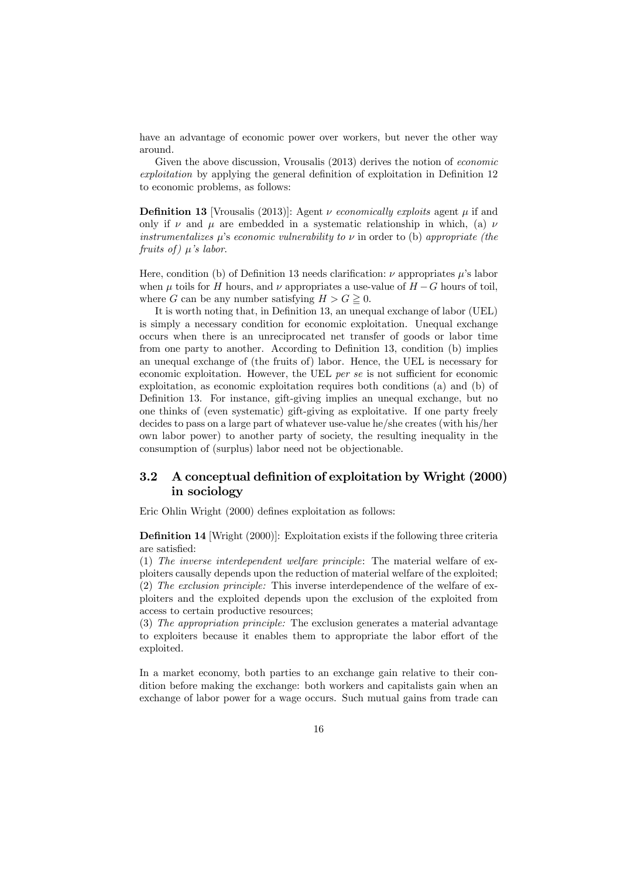have an advantage of economic power over workers, but never the other way around.

Given the above discussion, Vrousalis (2013) derives the notion of *economic* exploitation by applying the general definition of exploitation in Definition 12 to economic problems, as follows:

**Definition 13** [Vrousalis (2013)]: Agent  $\nu$  economically exploits agent  $\mu$  if and only if  $\nu$  and  $\mu$  are embedded in a systematic relationship in which, (a)  $\nu$ instrumentalizes  $\mu$ 's economic vulnerability to  $\nu$  in order to (b) appropriate (the fruits of)  $\mu$ 's labor.

Here, condition (b) of Definition 13 needs clarification:  $\nu$  appropriates  $\mu$ 's labor when  $\mu$  toils for H hours, and  $\nu$  appropriates a use-value of  $H - G$  hours of toil, where G can be any number satisfying  $H > G \geq 0$ .

It is worth noting that, in Definition 13, an unequal exchange of labor (UEL) is simply a necessary condition for economic exploitation. Unequal exchange occurs when there is an unreciprocated net transfer of goods or labor time from one party to another. According to Definition 13, condition (b) implies an unequal exchange of (the fruits of) labor. Hence, the UEL is necessary for economic exploitation. However, the UEL per se is not sufficient for economic exploitation, as economic exploitation requires both conditions (a) and (b) of Definition 13. For instance, gift-giving implies an unequal exchange, but no one thinks of (even systematic) gift-giving as exploitative. If one party freely decides to pass on a large part of whatever use-value he/she creates (with his/her own labor power) to another party of society, the resulting inequality in the consumption of (surplus) labor need not be objectionable.

#### 3.2 A conceptual definition of exploitation by Wright (2000) in sociology

Eric Ohlin Wright (2000) defines exploitation as follows:

Definition 14 [Wright (2000)]: Exploitation exists if the following three criteria are satisfied:

(1) The inverse interdependent welfare principle: The material welfare of exploiters causally depends upon the reduction of material welfare of the exploited; (2) The exclusion principle: This inverse interdependence of the welfare of exploiters and the exploited depends upon the exclusion of the exploited from access to certain productive resources;

(3) The appropriation principle: The exclusion generates a material advantage to exploiters because it enables them to appropriate the labor effort of the exploited.

In a market economy, both parties to an exchange gain relative to their condition before making the exchange: both workers and capitalists gain when an exchange of labor power for a wage occurs. Such mutual gains from trade can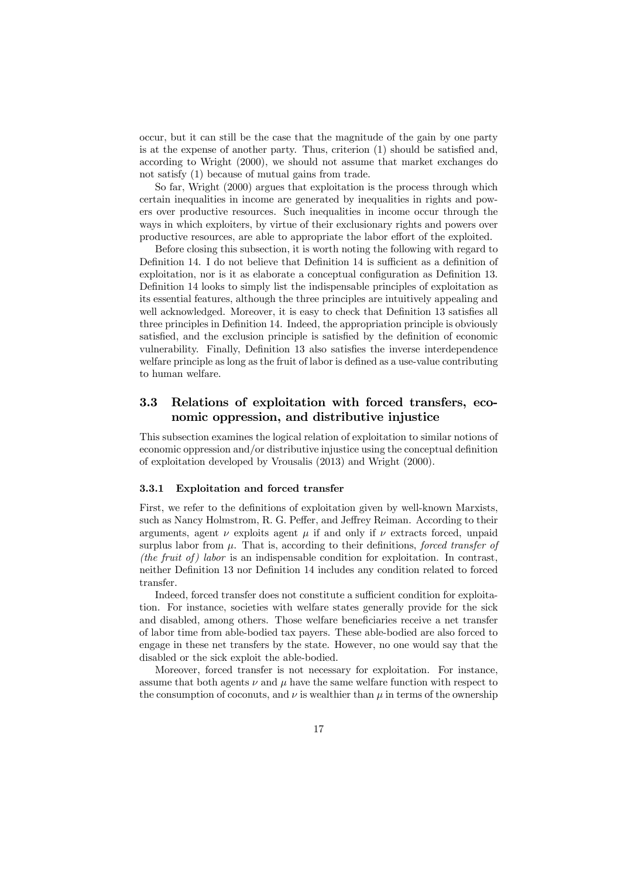occur, but it can still be the case that the magnitude of the gain by one party is at the expense of another party. Thus, criterion (1) should be satisfied and, according to Wright (2000), we should not assume that market exchanges do not satisfy (1) because of mutual gains from trade.

So far, Wright (2000) argues that exploitation is the process through which certain inequalities in income are generated by inequalities in rights and powers over productive resources. Such inequalities in income occur through the ways in which exploiters, by virtue of their exclusionary rights and powers over productive resources, are able to appropriate the labor effort of the exploited.

Before closing this subsection, it is worth noting the following with regard to Definition 14. I do not believe that Definition 14 is sufficient as a definition of exploitation, nor is it as elaborate a conceptual configuration as Definition 13. Definition 14 looks to simply list the indispensable principles of exploitation as its essential features, although the three principles are intuitively appealing and well acknowledged. Moreover, it is easy to check that Definition 13 satisfies all three principles in Definition 14. Indeed, the appropriation principle is obviously satisfied, and the exclusion principle is satisfied by the definition of economic vulnerability. Finally, Definition 13 also satisfies the inverse interdependence welfare principle as long as the fruit of labor is defined as a use-value contributing to human welfare.

#### 3.3 Relations of exploitation with forced transfers, economic oppression, and distributive injustice

This subsection examines the logical relation of exploitation to similar notions of economic oppression and/or distributive injustice using the conceptual definition of exploitation developed by Vrousalis (2013) and Wright (2000).

#### 3.3.1 Exploitation and forced transfer

First, we refer to the definitions of exploitation given by well-known Marxists, such as Nancy Holmstrom, R. G. Peffer, and Jeffrey Reiman. According to their arguments, agent  $\nu$  exploits agent  $\mu$  if and only if  $\nu$  extracts forced, unpaid surplus labor from  $\mu$ . That is, according to their definitions, forced transfer of (the fruit of) labor is an indispensable condition for exploitation. In contrast, neither Definition 13 nor Definition 14 includes any condition related to forced transfer.

Indeed, forced transfer does not constitute a sufficient condition for exploitation. For instance, societies with welfare states generally provide for the sick and disabled, among others. Those welfare beneficiaries receive a net transfer of labor time from able-bodied tax payers. These able-bodied are also forced to engage in these net transfers by the state. However, no one would say that the disabled or the sick exploit the able-bodied.

Moreover, forced transfer is not necessary for exploitation. For instance, assume that both agents  $\nu$  and  $\mu$  have the same welfare function with respect to the consumption of coconuts, and  $\nu$  is wealthier than  $\mu$  in terms of the ownership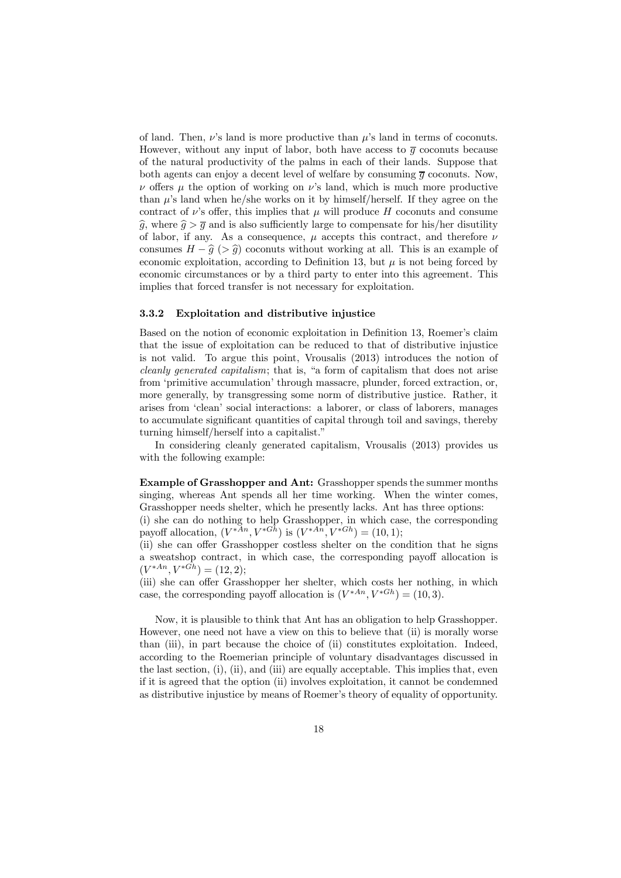of land. Then,  $\nu$ 's land is more productive than  $\mu$ 's land in terms of coconuts. However, without any input of labor, both have access to  $\overline{g}$  coconuts because of the natural productivity of the palms in each of their lands. Suppose that both agents can enjoy a decent level of welfare by consuming  $\overline{q}$  coconuts. Now,  $\nu$  offers  $\mu$  the option of working on  $\nu$ 's land, which is much more productive than  $\mu$ 's land when he/she works on it by himself/herself. If they agree on the contract of  $\nu$ 's offer, this implies that  $\mu$  will produce H coconuts and consume  $\hat{g}$ , where  $\hat{g} > \overline{g}$  and is also sufficiently large to compensate for his/her disutility of labor, if any. As a consequence,  $\mu$  accepts this contract, and therefore  $\nu$ consumes  $H - \hat{g}$  (>  $\hat{g}$ ) coconuts without working at all. This is an example of economic exploitation, according to Definition 13, but  $\mu$  is not being forced by economic circumstances or by a third party to enter into this agreement. This implies that forced transfer is not necessary for exploitation.

#### 3.3.2 Exploitation and distributive injustice

Based on the notion of economic exploitation in Definition 13, Roemer's claim that the issue of exploitation can be reduced to that of distributive injustice is not valid. To argue this point, Vrousalis (2013) introduces the notion of cleanly generated capitalism; that is, "a form of capitalism that does not arise from 'primitive accumulation' through massacre, plunder, forced extraction, or, more generally, by transgressing some norm of distributive justice. Rather, it arises from 'clean' social interactions: a laborer, or class of laborers, manages to accumulate significant quantities of capital through toil and savings, thereby turning himself/herself into a capitalist."

In considering cleanly generated capitalism, Vrousalis (2013) provides us with the following example:

Example of Grasshopper and Ant: Grasshopper spends the summer months singing, whereas Ant spends all her time working. When the winter comes, Grasshopper needs shelter, which he presently lacks. Ant has three options:

(i) she can do nothing to help Grasshopper, in which case, the corresponding payoff allocation,  $(V^{*An}, V^{*Gh})$  is  $(V^{*An}, V^{*Gh}) = (10, 1);$ 

(ii) she can offer Grasshopper costless shelter on the condition that he signs a sweatshop contract, in which case, the corresponding payoff allocation is  $(V^{*An}, V^{*\bar{G}h}) = (12, 2);$ 

(iii) she can offer Grasshopper her shelter, which costs her nothing, in which case, the corresponding payoff allocation is  $(V^{*An}, V^{*Gh}) = (10, 3)$ .

Now, it is plausible to think that Ant has an obligation to help Grasshopper. However, one need not have a view on this to believe that (ii) is morally worse than (iii), in part because the choice of (ii) constitutes exploitation. Indeed, according to the Roemerian principle of voluntary disadvantages discussed in the last section,  $(i)$ ,  $(ii)$ , and  $(iii)$  are equally acceptable. This implies that, even if it is agreed that the option (ii) involves exploitation, it cannot be condemned as distributive injustice by means of Roemer's theory of equality of opportunity.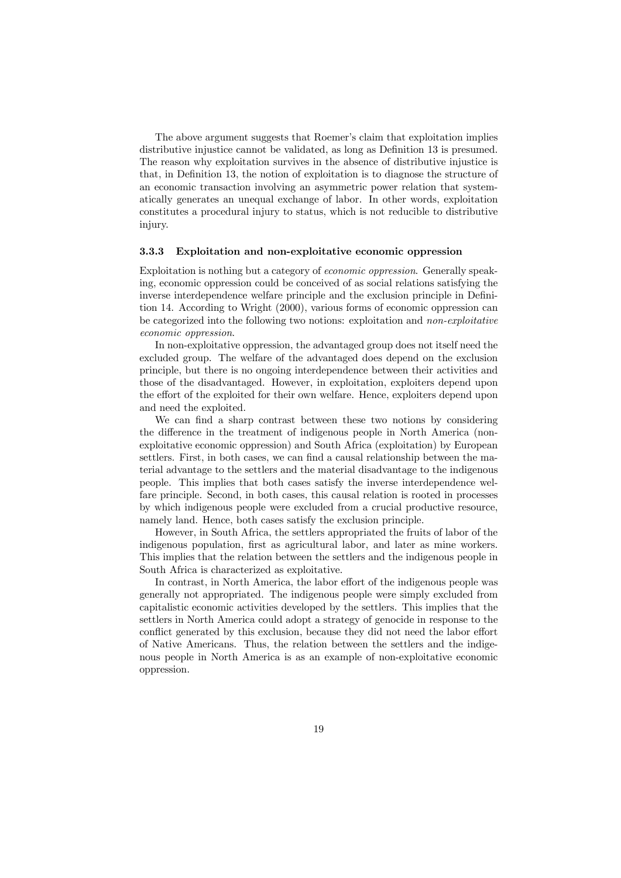The above argument suggests that Roemer's claim that exploitation implies distributive injustice cannot be validated, as long as Definition 13 is presumed. The reason why exploitation survives in the absence of distributive injustice is that, in Definition 13, the notion of exploitation is to diagnose the structure of an economic transaction involving an asymmetric power relation that systematically generates an unequal exchange of labor. In other words, exploitation constitutes a procedural injury to status, which is not reducible to distributive injury.

#### 3.3.3 Exploitation and non-exploitative economic oppression

Exploitation is nothing but a category of economic oppression. Generally speaking, economic oppression could be conceived of as social relations satisfying the inverse interdependence welfare principle and the exclusion principle in Definition 14. According to Wright (2000), various forms of economic oppression can be categorized into the following two notions: exploitation and non-exploitative economic oppression.

In non-exploitative oppression, the advantaged group does not itself need the excluded group. The welfare of the advantaged does depend on the exclusion principle, but there is no ongoing interdependence between their activities and those of the disadvantaged. However, in exploitation, exploiters depend upon the effort of the exploited for their own welfare. Hence, exploiters depend upon and need the exploited.

We can find a sharp contrast between these two notions by considering the difference in the treatment of indigenous people in North America (nonexploitative economic oppression) and South Africa (exploitation) by European settlers. First, in both cases, we can find a causal relationship between the material advantage to the settlers and the material disadvantage to the indigenous people. This implies that both cases satisfy the inverse interdependence welfare principle. Second, in both cases, this causal relation is rooted in processes by which indigenous people were excluded from a crucial productive resource, namely land. Hence, both cases satisfy the exclusion principle.

However, in South Africa, the settlers appropriated the fruits of labor of the indigenous population, first as agricultural labor, and later as mine workers. This implies that the relation between the settlers and the indigenous people in South Africa is characterized as exploitative.

In contrast, in North America, the labor effort of the indigenous people was generally not appropriated. The indigenous people were simply excluded from capitalistic economic activities developed by the settlers. This implies that the settlers in North America could adopt a strategy of genocide in response to the conflict generated by this exclusion, because they did not need the labor effort of Native Americans. Thus, the relation between the settlers and the indigenous people in North America is as an example of non-exploitative economic oppression.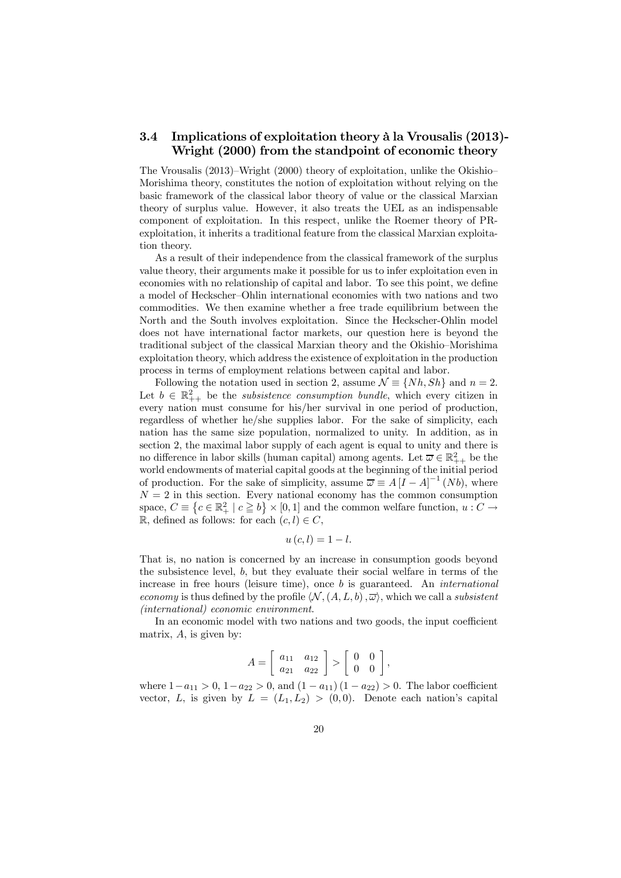#### 3.4 Implications of exploitation theory à la Vrousalis (2013)- Wright (2000) from the standpoint of economic theory

The Vrousalis (2013)—Wright (2000) theory of exploitation, unlike the Okishio— Morishima theory, constitutes the notion of exploitation without relying on the basic framework of the classical labor theory of value or the classical Marxian theory of surplus value. However, it also treats the UEL as an indispensable component of exploitation. In this respect, unlike the Roemer theory of PRexploitation, it inherits a traditional feature from the classical Marxian exploitation theory.

As a result of their independence from the classical framework of the surplus value theory, their arguments make it possible for us to infer exploitation even in economies with no relationship of capital and labor. To see this point, we define a model of Heckscher—Ohlin international economies with two nations and two commodities. We then examine whether a free trade equilibrium between the North and the South involves exploitation. Since the Heckscher-Ohlin model does not have international factor markets, our question here is beyond the traditional subject of the classical Marxian theory and the Okishio—Morishima exploitation theory, which address the existence of exploitation in the production process in terms of employment relations between capital and labor.

Following the notation used in section 2, assume  $\mathcal{N} \equiv \{Nh, Sh\}$  and  $n = 2$ . Let  $b \in \mathbb{R}^2_{++}$  be the *subsistence consumption bundle*, which every citizen in every nation must consume for his/her survival in one period of production, regardless of whether he/she supplies labor. For the sake of simplicity, each nation has the same size population, normalized to unity. In addition, as in section 2, the maximal labor supply of each agent is equal to unity and there is no difference in labor skills (human capital) among agents. Let  $\overline{\omega} \in \mathbb{R}^2_{++}$  be the world endowments of material capital goods at the beginning of the initial period of production. For the sake of simplicity, assume  $\overline{\omega} \equiv A[I - A]^{-1}(Nb)$ , where  $N = 2$  in this section. Every national economy has the common consumption space,  $C \equiv \{c \in \mathbb{R}^2_+ \mid c \geq b\} \times [0, 1]$  and the common welfare function,  $u: C \to \mathbb{R}^2$ R, defined as follows: for each  $(c, l) \in C$ ,

$$
u\left( c,l\right) =1-l.
$$

That is, no nation is concerned by an increase in consumption goods beyond the subsistence level, b, but they evaluate their social welfare in terms of the increase in free hours (leisure time), once b is guaranteed. An international economy is thus defined by the profile  $\langle \mathcal{N},(A,L,b),\overline{\omega}\rangle$ , which we call a subsistent (international) economic environment.

In an economic model with two nations and two goods, the input coefficient matrix,  $A$ , is given by:

$$
A = \left[ \begin{array}{cc} a_{11} & a_{12} \\ a_{21} & a_{22} \end{array} \right] > \left[ \begin{array}{cc} 0 & 0 \\ 0 & 0 \end{array} \right],
$$

where  $1-a_{11} > 0$ ,  $1-a_{22} > 0$ , and  $(1-a_{11})(1-a_{22}) > 0$ . The labor coefficient vector, L, is given by  $L = (L_1, L_2) > (0, 0)$ . Denote each nation's capital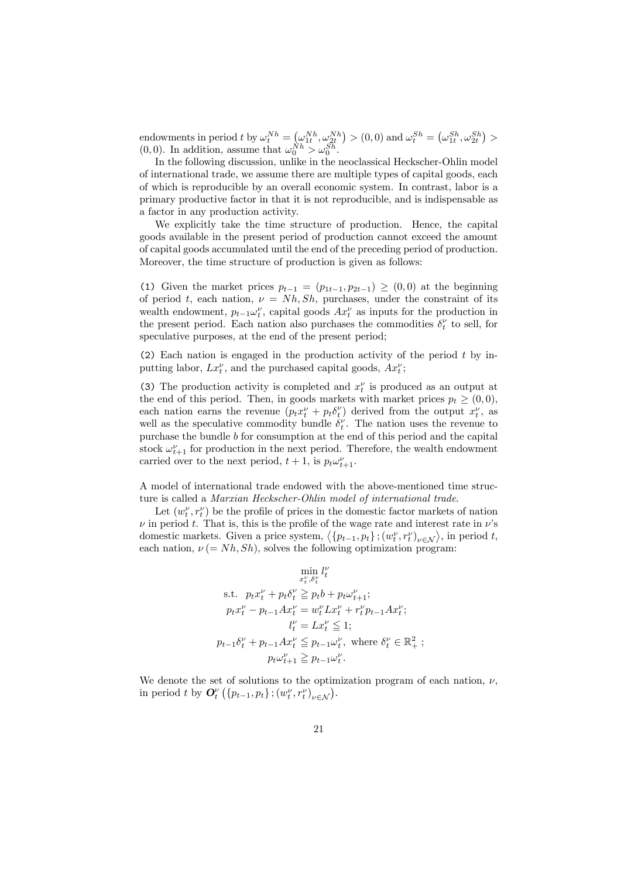endowments in period t by  $\omega_t^{Nh} = (\omega_{1t}^{Nh}, \omega_{2t}^{Nh}) > (0,0)$  and  $\omega_t^{Sh} = (\omega_{1t}^{Sh}, \omega_{2t}^{Sh}) >$  $(0,0)$ . In addition, assume that  $\omega_0^{Nh} > \omega_0^{Sh}$ .

In the following discussion, unlike in the neoclassical Heckscher-Ohlin model of international trade, we assume there are multiple types of capital goods, each of which is reproducible by an overall economic system. In contrast, labor is a primary productive factor in that it is not reproducible, and is indispensable as a factor in any production activity.

We explicitly take the time structure of production. Hence, the capital goods available in the present period of production cannot exceed the amount of capital goods accumulated until the end of the preceding period of production. Moreover, the time structure of production is given as follows:

(1) Given the market prices  $p_{t-1} = (p_{1t-1}, p_{2t-1}) \geq (0, 0)$  at the beginning of period t, each nation,  $\nu = Nh, Sh$ , purchases, under the constraint of its wealth endowment,  $p_{t-1} \omega_t^{\nu}$ , capital goods  $Ax_t^{\nu}$  as inputs for the production in the present period. Each nation also purchases the commodities  $\delta_t^{\nu}$  to sell, for speculative purposes, at the end of the present period;

(2) Each nation is engaged in the production activity of the period  $t$  by inputting labor,  $Lx_t^{\nu}$ , and the purchased capital goods,  $Ax_t^{\nu}$ ;

(3) The production activity is completed and  $x_t^{\nu}$  is produced as an output at the end of this period. Then, in goods markets with market prices  $p_t \geq (0,0)$ , each nation earns the revenue  $(p_t x_t^{\nu} + p_t \delta_t^{\nu})$  derived from the output  $x_t^{\nu}$ , as well as the speculative commodity bundle  $\delta_t^{\nu}$ . The nation uses the revenue to purchase the bundle b for consumption at the end of this period and the capital stock  $\omega_{t+1}^{\nu}$  for production in the next period. Therefore, the wealth endowment carried over to the next period,  $t + 1$ , is  $p_t \omega_{t+1}^{\nu}$ .

A model of international trade endowed with the above-mentioned time structure is called a Marxian Heckscher-Ohlin model of international trade.

Let  $(w_t^{\nu}, r_t^{\nu})$  be the profile of prices in the domestic factor markets of nation  $\nu$  in period t. That is, this is the profile of the wage rate and interest rate in  $\nu$ 's domestic markets. Given a price system,  $\langle \{p_{t-1}, p_t\} ; (w_t^{\nu}, r_t^{\nu})_{\nu \in \mathcal{N}} \rangle$ , in period t, each nation,  $\nu (= Nh, Sh)$ , solves the following optimization program:

$$
\min_{x_t^{\nu}, \delta_t^{\nu}} l_t^{\nu}
$$
\ns.t.  $p_t x_t^{\nu} + p_t \delta_t^{\nu} \geq p_t b + p_t \omega_{t+1}^{\nu}$ ;  
\n $p_t x_t^{\nu} - p_{t-1} A x_t^{\nu} = w_t^{\nu} L x_t^{\nu} + r_t^{\nu} p_{t-1} A x_t^{\nu}$ ;  
\n $l_t^{\nu} = L x_t^{\nu} \leq 1$ ;  
\n $p_{t-1} \delta_t^{\nu} + p_{t-1} A x_t^{\nu} \leq p_{t-1} \omega_t^{\nu}$ , where  $\delta_t^{\nu} \in \mathbb{R}_+^2$ ;  
\n $p_t \omega_{t+1}^{\nu} \geq p_{t-1} \omega_t^{\nu}$ .

We denote the set of solutions to the optimization program of each nation,  $\nu$ , in period t by  $\mathbf{O}_t^{\nu} \left( \{ p_{t-1}, p_t \} ; \left( w_t^{\nu}, r_t^{\nu} \right)_{\nu \in \mathcal{N}} \right)$ .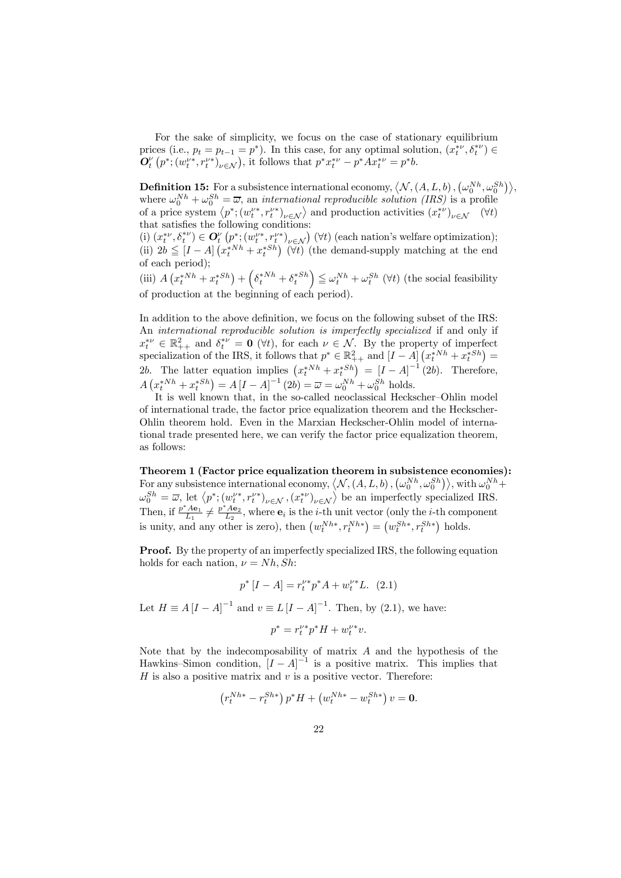For the sake of simplicity, we focus on the case of stationary equilibrium prices (i.e.,  $p_t = p_{t-1} = p^*$ ). In this case, for any optimal solution,  $(x_t^{*\nu}, \delta_t^{*\nu}) \in$  $\mathbf{O}_t^{\nu}\left(p^*; (w_t^{\nu*}, r_t^{\nu*})_{\nu \in \mathcal{N}}\right)$ , it follows that  $p^*x_t^{*\nu} - p^*A x_t^{*\nu} = p^*b$ .

**Definition 15:** For a subsistence international economy,  $\langle N, (A, L, b), (\omega_0^{Nh}, \omega_0^{Sh}) \rangle$ , where  $\omega_0^{Nh} + \omega_0^{Sh} = \overline{\omega}$ , an *international reproducible solution (IRS)* is a profile of a price system  $\langle p^*, (w_t^{\nu*}, r_t^{\nu*})_{\nu \in \mathcal{N}} \rangle$  and production activities  $(x_t^{*\nu})_{\nu \in \mathcal{N}}$  ( $\forall t$ ) that satisfies the following conditions:

(i)  $(x_t^{*\nu}, \delta_t^{*\nu}) \in \mathbf{O}_t^{\nu} \left( p^*; (w_t^{\nu*}, r_t^{\nu*})_{\nu \in \mathcal{N}} \right)$  ( $\forall t$ ) (each nation's welfare optimization); (ii)  $2b \leq [I-A] \left(x_t^{*Nh} + x_t^{*Sh}\right)$  ( $\forall t$ ) (the demand-supply matching at the end of each period);

(iii)  $A\left(x_t^{*Nh} + x_t^{*Sh}\right) + \left(\delta_t^{*Nh} + \delta_t^{*Sh}\right) \leq \omega_t^{Nh} + \omega_t^{Sh}$  ( $\forall t$ ) (the social feasibility of production at the beginning of each period).

In addition to the above definition, we focus on the following subset of the IRS: An international reproducible solution is imperfectly specialized if and only if  $x_t^{*\nu} \in \mathbb{R}^2_{++}$  and  $\delta_t^{*\nu} = \mathbf{0}$  ( $\forall t$ ), for each  $\nu \in \mathcal{N}$ . By the property of imperfect specialization of the IRS, it follows that  $p^* \in \mathbb{R}^2_{++}$  and  $[I - A]$   $(x_t^{*Nh} + x_t^{*Sh}) =$ 2b. The latter equation implies  $(x_t^{*Nh} + x_t^{*Sh}) = [I - A]^{-1} (2b)$ . Therefore,  $A\left(x_t^{*Nh} + x_t^{*Sh}\right) = A\left[I - A\right]^{-1}(2b) = \overline{\omega} = \omega_0^{Nh} + \omega_0^{Sh}$  holds.

It is well known that, in the so-called neoclassical Heckscher—Ohlin model of international trade, the factor price equalization theorem and the Heckscher-Ohlin theorem hold. Even in the Marxian Heckscher-Ohlin model of international trade presented here, we can verify the factor price equalization theorem, as follows:

Theorem 1 (Factor price equalization theorem in subsistence economies): For any subsistence international economy,  $\langle N, (A, L, b), (\omega_0^{Nh}, \omega_0^{Sh}) \rangle$ , with  $\omega_0^{Nh} + \omega_0^{Nh}$  $\omega_0^{Sh} = \overline{\omega}$ , let  $\langle p^*; (w_t^{\nu*}, r_t^{\nu*})_{\nu \in \mathcal{N}}, (x_t^{*\nu})_{\nu \in \mathcal{N}}\rangle$  be an imperfectly specialized IRS. Then, if  $\frac{p^*Ae_1}{L_1} \neq \frac{p^*Ae_2}{L_2}$ , where  $e_i$  is the *i*-th unit vector (only the *i*-th component is unity, and any other is zero), then  $(w_t^{Nh*}, r_t^{Nh*}) = (w_t^{Sh*}, r_t^{Sh*})$  holds.

**Proof.** By the property of an imperfectly specialized IRS, the following equation holds for each nation,  $\nu = Nh, Sh$ :

$$
p^*[I - A] = r_t^{\nu *} p^* A + w_t^{\nu *} L. \tag{2.1}
$$

Let  $H \equiv A [I - A]^{-1}$  and  $v \equiv L [I - A]^{-1}$ . Then, by (2.1), we have:

$$
p^* = r_t^{\nu *} p^* H + w_t^{\nu *} v.
$$

Note that by the indecomposability of matrix  $A$  and the hypothesis of the Hawkins–Simon condition,  $[I - A]^{-1}$  is a positive matrix. This implies that  $H$  is also a positive matrix and  $v$  is a positive vector. Therefore:

$$
(r_t^{Nh*} - r_t^{Sh*}) p^* H + (w_t^{Nh*} - w_t^{Sh*}) v = \mathbf{0}.
$$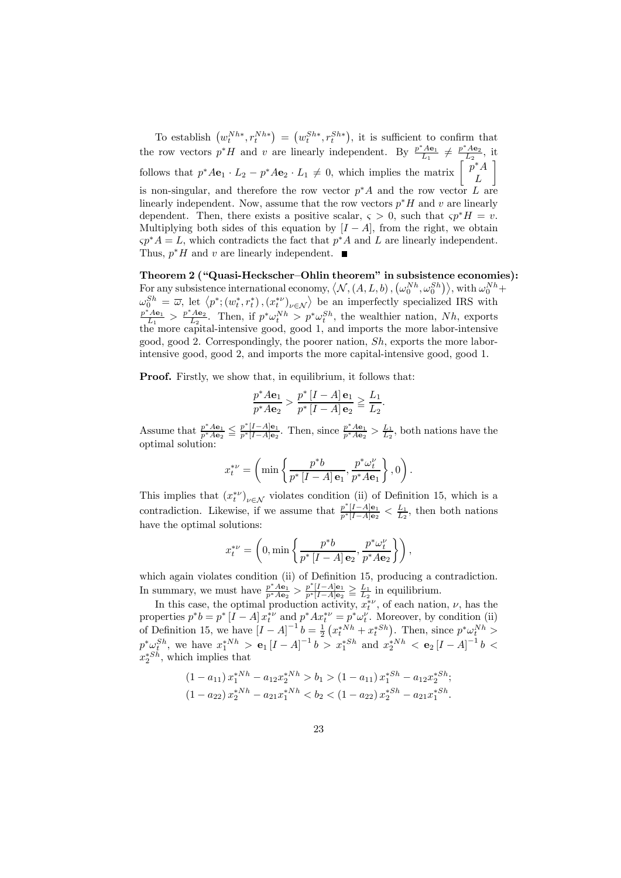To establish  $(w_t^{Nh*}, r_t^{Nh*}) = (w_t^{Sh*}, r_t^{Sh*})$ , it is sufficient to confirm that the row vectors  $p^*H$  and v are linearly independent. By  $\frac{p^*Ae_1}{L_1} \neq \frac{p^*Ae_2}{L_2}$ , it follows that  $p^*A\mathbf{e}_1 \cdot L_2 - p^*A\mathbf{e}_2 \cdot L_1 \neq 0$ , which implies the matrix  $\begin{bmatrix} p^*A \\ L \end{bmatrix}$  $\overline{\phantom{a}}$ is non-singular, and therefore the row vector  $p^*A$  and the row vector L are linearly independent. Now, assume that the row vectors  $p^*H$  and v are linearly dependent. Then, there exists a positive scalar,  $\varsigma > 0$ , such that  $\varsigma p^* H = v$ . Multiplying both sides of this equation by  $[I - A]$ , from the right, we obtain  $\varsigma p^*A = L$ , which contradicts the fact that  $p^*A$  and L are linearly independent. Thus,  $p^*H$  and v are linearly independent. ■

Theorem 2 ("Quasi-Heckscher—Ohlin theorem" in subsistence economies): For any subsistence international economy,  $\langle N, (A, L, b), (\omega_0^{Nh}, \omega_0^{Sh}) \rangle$ , with  $\omega_0^{Nh}$  + For any subsistence international economy,  $\langle v, (A, L, 0), (\omega_0, \omega_0) \rangle$ , with  $\omega_0$ <br>  $\omega_0^{Sh} = \overline{\omega}$ , let  $\langle p^*; (w_t^*, r_t^*)$ ,  $(x_t^{*\nu})_{\nu \in \mathcal{N}} \rangle$  be an imperfectly specialized IRS with  $\frac{p^*A\mathbf{e}_1}{L_1} > \frac{p^*A\mathbf{e}_2}{L_2}$ . Then, if  $p^*\omega_t^{Nh} > p^*\omega_t^{Sh}$ , the wealthier nation, Nh, exports the more capital-intensive good, good 1, and imports the more labor-intensive good, good 2. Correspondingly, the poorer nation,  $Sh$ , exports the more laborintensive good, good 2, and imports the more capital-intensive good, good 1.

Proof. Firstly, we show that, in equilibrium, it follows that:

$$
\frac{p^*A\mathbf{e}_1}{p^*A\mathbf{e}_2} > \frac{p^* [I - A] \mathbf{e}_1}{p^* [I - A] \mathbf{e}_2} \geqq \frac{L_1}{L_2}.
$$

Assume that  $\frac{p^*A\mathbf{e}_1}{p^*A\mathbf{e}_2} \leq \frac{p^*[I-A]\mathbf{e}_1}{p^*[I-A]\mathbf{e}_2}$ . Then, since  $\frac{p^*A\mathbf{e}_1}{p^*A\mathbf{e}_2} > \frac{L_1}{L_2}$ , both nations have the optimal solution:

$$
x_t^{*\nu} = \left(\min\left\{\frac{p^*b}{p^*\left[I-A\right]\mathbf{e}_1},\frac{p^*\omega_t^\nu}{p^*A\mathbf{e}_1}\right\},0\right).
$$

This implies that  $(x_t^{*\nu})_{\nu \in \mathcal{N}}$  violates condition (ii) of Definition 15, which is a contradiction. Likewise, if we assume that  $\frac{p^*[I-A]e_1}{p^*[I-A]e_2} < \frac{L_1}{L_2}$ , then both nations have the optimal solutions:

$$
x_t^{*\nu} = \left(0, \min\left\{\frac{p^*b}{p^*\left[I-A\right]\mathbf{e}_2}, \frac{p^*\omega_t^{\nu}}{p^*A\mathbf{e}_2}\right\}\right),\,
$$

which again violates condition (ii) of Definition 15, producing a contradiction. In summary, we must have  $\frac{p^*A\mathbf{e}_1}{p^*A\mathbf{e}_2} > \frac{p^*[I-A]\mathbf{e}_1}{p^*[I-A]\mathbf{e}_2} \geq \frac{L_1}{L_2}$  in equilibrium.

In this case, the optimal production activity,  $x_t^{*\nu}$ , of each nation,  $\nu$ , has the properties  $p^*b = p^* [I - A] x_t^{*\nu}$  and  $p^* A x_t^{*\nu} = p^* \omega_t^{\nu}$ . Moreover, by condition (ii) of Definition 15, we have  $[I - A]^{-1} b = \frac{1}{2} (x_t^{*Nh} + x_t^{*Sh})$ . Then, since  $p^* \omega_t^{Nh} >$  $p^* \omega_5^{Sh}$ , we have  $x_1^{*Nh} > e_1[I-A]^{-1}b > x_1^{*Sh}$  and  $x_2^{*Nh} < e_2[I-A]^{-1}b <$  $x_2^{*Sh}$ , which implies that

$$
(1 - a_{11}) x_1^{*Nh} - a_{12} x_2^{*Nh} > b_1 > (1 - a_{11}) x_1^{*Sh} - a_{12} x_2^{*Sh};
$$
  

$$
(1 - a_{22}) x_2^{*Nh} - a_{21} x_1^{*Nh} < b_2 < (1 - a_{22}) x_2^{*Sh} - a_{21} x_1^{*Sh}.
$$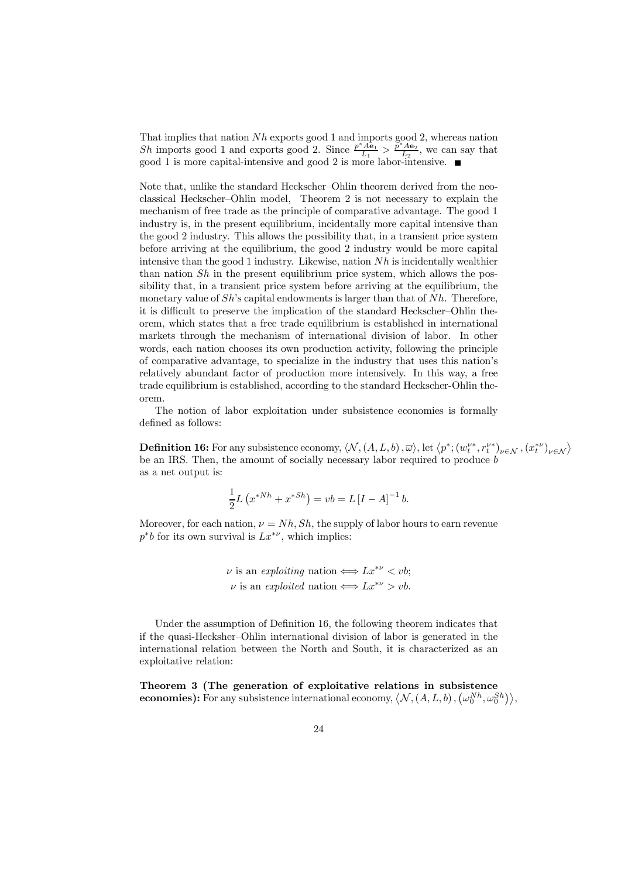That implies that nation  $Nh$  exports good 1 and imports good 2, whereas nation Sh imports good 1 and exports good 2. Since  $\frac{p^*Ae_1}{L_1} > \frac{p^*Ae_2}{L_2}$ , we can say that good 1 is more capital-intensive and good 2 is more labor-intensive.

Note that, unlike the standard Heckscher—Ohlin theorem derived from the neoclassical Heckscher—Ohlin model, Theorem 2 is not necessary to explain the mechanism of free trade as the principle of comparative advantage. The good 1 industry is, in the present equilibrium, incidentally more capital intensive than the good 2 industry. This allows the possibility that, in a transient price system before arriving at the equilibrium, the good 2 industry would be more capital intensive than the good 1 industry. Likewise, nation  $Nh$  is incidentally wealthier than nation  $Sh$  in the present equilibrium price system, which allows the possibility that, in a transient price system before arriving at the equilibrium, the monetary value of  $Sh$ 's capital endowments is larger than that of  $Nh$ . Therefore, it is difficult to preserve the implication of the standard Heckscher—Ohlin theorem, which states that a free trade equilibrium is established in international markets through the mechanism of international division of labor. In other words, each nation chooses its own production activity, following the principle of comparative advantage, to specialize in the industry that uses this nation's relatively abundant factor of production more intensively. In this way, a free trade equilibrium is established, according to the standard Heckscher-Ohlin theorem.

The notion of labor exploitation under subsistence economies is formally defined as follows:

**Definition 16:** For any subsistence economy,  $\langle \mathcal{N}, (A, L, b), \overline{\omega} \rangle$ , let  $\langle p^*; (w_t^{\nu*}, r_t^{\nu*})_{\nu \in \mathcal{N}}, (x_t^{*\nu})_{\nu \in \mathcal{N}} \rangle$ be an IRS. Then, the amount of socially necessary labor required to produce b as a net output is:

$$
\frac{1}{2}L\left(x^{*Nh} + x^{*Sh}\right) = vb = L\left[I - A\right]^{-1}b.
$$

Moreover, for each nation,  $\nu = Nh, Sh$ , the supply of labor hours to earn revenue  $p^*b$  for its own survival is  $Lx^{*\nu}$ , which implies:

> $\nu$  is an exploiting nation  $\Longleftrightarrow Lx^{*\nu} < v$ b:  $\nu$  is an exploited nation  $\Longleftrightarrow Lx^{*\nu} > \nu b$ .

Under the assumption of Definition 16, the following theorem indicates that if the quasi-Hecksher—Ohlin international division of labor is generated in the international relation between the North and South, it is characterized as an exploitative relation:

Theorem 3 (The generation of exploitative relations in subsistence **economies):** For any subsistence international economy,  $\langle N, (A, L, b), (\omega_0^{Nh}, \omega_0^{Sh}) \rangle$ ,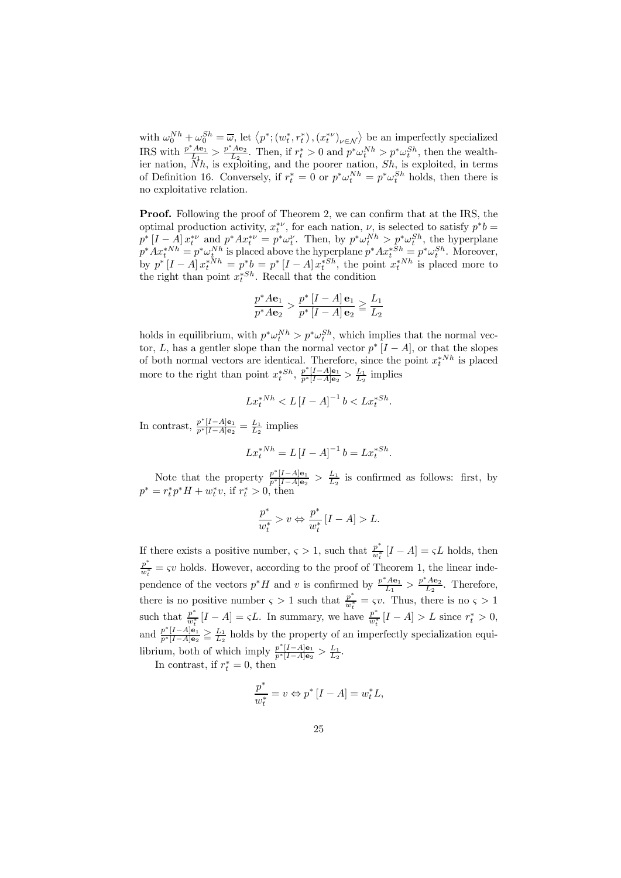with  $\omega_0^{Nh} + \omega_0^{Sh} = \overline{\omega}$ , let  $\langle p^*; (w_t^*, r_t^*)$ ,  $(x_t^{*\nu})_{\nu \in \mathcal{N}}\rangle$  be an imperfectly specialized IRS with  $\frac{p^* A \mathbf{e}_1}{L_1} > \frac{p^* A \mathbf{e}_2}{L_2}$ . Then, if  $r_t^* > 0$  and  $p^* \omega_t^{Nh} > p^* \omega_t^{Sh}$ , then the wealthier nation,  $\overline{N}h$ , is exploiting, and the poorer nation,  $\overline{S}h$ , is exploited, in terms of Definition 16. Conversely, if  $r_t^* = 0$  or  $p^* \omega_t^{Nh} = p^* \omega_t^{Sh}$  holds, then there is no exploitative relation.

Proof. Following the proof of Theorem 2, we can confirm that at the IRS, the optimal production activity,  $x_t^{*\nu}$ , for each nation,  $\nu$ , is selected to satisfy  $p^*b =$  $p^*[I-A]x_t^{*\nu}$  and  $p^*Ax_t^{*\nu} = p^*\omega_t^{\nu}$ . Then, by  $p^*\omega_t^{Nh} > p^*\omega_t^{Sh}$ , the hyperplane  $p^*Ax_t^{*Nh} = p^*\omega_t^{Nh}$  is placed above the hyperplane  $p^*Ax_t^{*Sh} = p^*\omega_t^{Sh}$ . Moreover, by  $p^*[I-A] x_t^{*Nh} = p^*b = p^*[I-A] x_t^{*Sh}$ , the point  $x_t^{*Nh}$  is placed more to the right than point  $x_t^{*Sh}$ . Recall that the condition

$$
\frac{p^*A\mathbf{e}_1}{p^*A\mathbf{e}_2} > \frac{p^*\left[I - A\right]\mathbf{e}_1}{p^*\left[I - A\right]\mathbf{e}_2} \ge \frac{L_1}{L_2}
$$

holds in equilibrium, with  $p^* \omega_t^{Nh} > p^* \omega_t^{Sh}$ , which implies that the normal vector, L, has a gentler slope than the normal vector  $p^*$  [ $I - A$ ], or that the slopes of both normal vectors are identical. Therefore, since the point  $x_t^{*Nh}$  is placed more to the right than point  $x_t^{*Sh}$ ,  $\frac{p^*[I-A]e_1}{p^*[I-A]e_2} > \frac{L_1}{L_2}$  implies

$$
Lx_t^{*Nh} < L[I - A]^{-1}b < Lx_t^{*Sh}.
$$

In contrast,  $\frac{p^*[I-A] \mathbf{e}_1}{p^*[I-A] \mathbf{e}_2} = \frac{L_1}{L_2}$  implies

$$
Lx_t^{*Nh} = L[I - A]^{-1}b = Lx_t^{*Sh}.
$$

Note that the property  $\frac{p^*[I-A]e_1}{p^*[I-A]e_2} > \frac{L_1}{L_2}$  is confirmed as follows: first, by  $p^* = r_t^* p^* H + w_t^* v$ , if  $r_t^* > 0$ , then

$$
\frac{p^*}{w_t^*} > v \Leftrightarrow \frac{p^*}{w_t^*} [I - A] > L.
$$

If there exists a positive number,  $\varsigma > 1$ , such that  $\frac{p^*}{w_t^*} [I - A] = \varsigma L$  holds, then  $\frac{p^*}{w_i^*} = \varsigma v$  holds. However, according to the proof of Theorem 1, the linear independence of the vectors  $p^*H$  and v is confirmed by  $\frac{p^*A\mathbf{e}_1}{L_1} > \frac{p^*A\mathbf{e}_2}{L_2}$ . Therefore, there is no positive number  $\varsigma > 1$  such that  $\frac{p^*}{w_t^*} = \varsigma v$ . Thus, there is no  $\varsigma > 1$ such that  $\frac{p^*}{w_t^*}[I-A] = \varsigma L$ . In summary, we have  $\frac{p^*}{w_t^*}[I-A] > L$  since  $r_t^* > 0$ , and  $\frac{p^*[I-A]e_1}{p^*[I-A]e_2} \geq \frac{L_1}{L_2}$  holds by the property of an imperfectly specialization equilibrium, both of which imply  $\frac{p^*[I-A]e_1}{p^*[I-A]e_2} > \frac{L_1}{L_2}$ .

In contrast, if  $r_t^* = 0$ , then

$$
\frac{p^*}{w_t^*} = v \Leftrightarrow p^* [I - A] = w_t^* L,
$$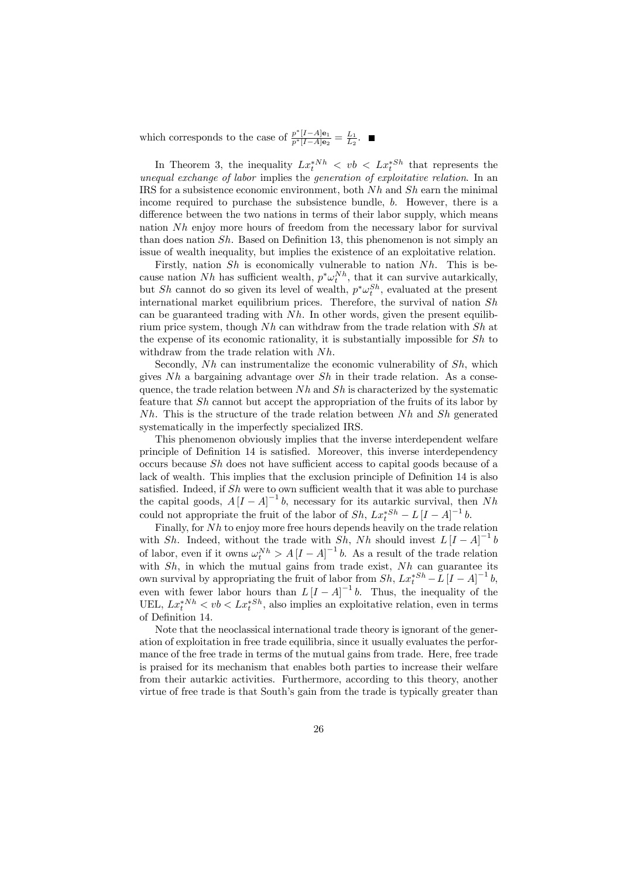which corresponds to the case of  $\frac{p^*[I-A]e_1}{p^*[I-A]e_2} = \frac{L_1}{L_2}$ .

In Theorem 3, the inequality  $Lx_t^{*Nh} < vb < Lx_t^{*Sh}$  that represents the unequal exchange of labor implies the generation of exploitative relation. In an IRS for a subsistence economic environment, both  $Nh$  and  $Sh$  earn the minimal income required to purchase the subsistence bundle, b. However, there is a difference between the two nations in terms of their labor supply, which means nation Nh enjoy more hours of freedom from the necessary labor for survival than does nation Sh. Based on Definition 13, this phenomenon is not simply an issue of wealth inequality, but implies the existence of an exploitative relation.

Firstly, nation  $Sh$  is economically vulnerable to nation  $Nh$ . This is because nation Nh has sufficient wealth,  $p^* \omega_t^{Nh}$ , that it can survive autarkically, but Sh cannot do so given its level of wealth,  $p^* \omega_t^{Sh}$ , evaluated at the present international market equilibrium prices. Therefore, the survival of nation  $Sh$ can be guaranteed trading with  $Nh$ . In other words, given the present equilibrium price system, though  $Nh$  can withdraw from the trade relation with  $Sh$  at the expense of its economic rationality, it is substantially impossible for Sh to withdraw from the trade relation with Nh.

Secondly,  $Nh$  can instrumentalize the economic vulnerability of  $Sh$ , which gives  $Nh$  a bargaining advantage over  $Sh$  in their trade relation. As a consequence, the trade relation between  $Nh$  and  $Sh$  is characterized by the systematic feature that Sh cannot but accept the appropriation of the fruits of its labor by  $Nh$ . This is the structure of the trade relation between  $Nh$  and  $Sh$  generated systematically in the imperfectly specialized IRS.

This phenomenon obviously implies that the inverse interdependent welfare principle of Definition 14 is satisfied. Moreover, this inverse interdependency occurs because Sh does not have sufficient access to capital goods because of a lack of wealth. This implies that the exclusion principle of Definition 14 is also satisfied. Indeed, if  $Sh$  were to own sufficient wealth that it was able to purchase the capital goods,  $A[I - A]^{-1}b$ , necessary for its autarkic survival, then Nh could not appropriate the fruit of the labor of  $Sh$ ,  $Lx_t^{*Sh} - L[I - A]^{-1}b$ .

Finally, for Nh to enjoy more free hours depends heavily on the trade relation with Sh. Indeed, without the trade with  $\overline{Sh}$ , Nh should invest  $L[I - A]^{-1}b$ of labor, even if it owns  $\omega_t^{Nh} > A[I - A]^{-1}b$ . As a result of the trade relation with  $Sh$ , in which the mutual gains from trade exist,  $Nh$  can guarantee its own survival by appropriating the fruit of labor from  $Sh$ ,  $Lx_t^{*Sh} - L[I - A]^{-1}b$ , even with fewer labor hours than  $L[I - A]^{-1}b$ . Thus, the inequality of the UEL,  $Lx_t^{*Nh} < vb < Lx_t^{*Sh}$ , also implies an exploitative relation, even in terms of Definition 14.

Note that the neoclassical international trade theory is ignorant of the generation of exploitation in free trade equilibria, since it usually evaluates the performance of the free trade in terms of the mutual gains from trade. Here, free trade is praised for its mechanism that enables both parties to increase their welfare from their autarkic activities. Furthermore, according to this theory, another virtue of free trade is that South's gain from the trade is typically greater than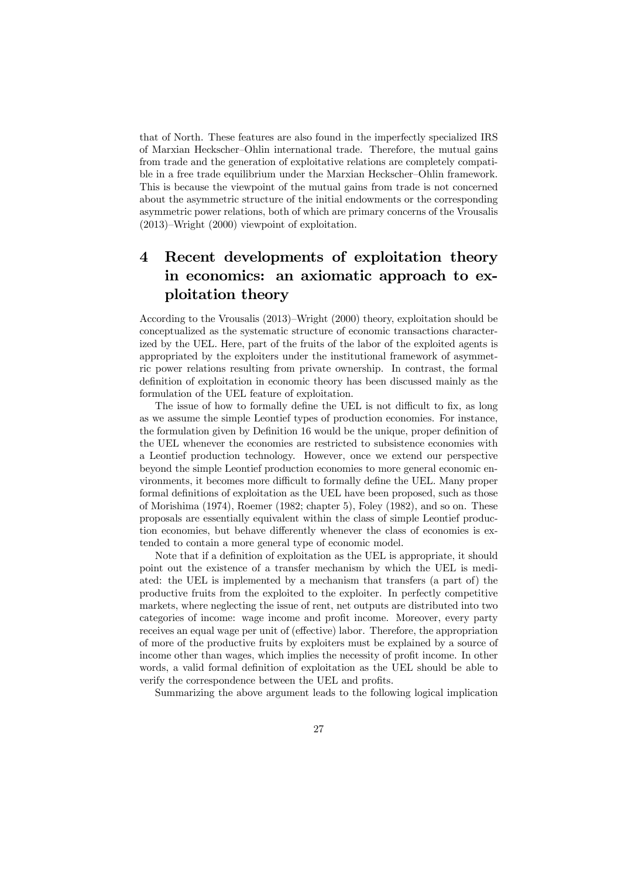that of North. These features are also found in the imperfectly specialized IRS of Marxian Heckscher—Ohlin international trade. Therefore, the mutual gains from trade and the generation of exploitative relations are completely compatible in a free trade equilibrium under the Marxian Heckscher—Ohlin framework. This is because the viewpoint of the mutual gains from trade is not concerned about the asymmetric structure of the initial endowments or the corresponding asymmetric power relations, both of which are primary concerns of the Vrousalis (2013)—Wright (2000) viewpoint of exploitation.

## 4 Recent developments of exploitation theory in economics: an axiomatic approach to exploitation theory

According to the Vrousalis (2013)—Wright (2000) theory, exploitation should be conceptualized as the systematic structure of economic transactions characterized by the UEL. Here, part of the fruits of the labor of the exploited agents is appropriated by the exploiters under the institutional framework of asymmetric power relations resulting from private ownership. In contrast, the formal definition of exploitation in economic theory has been discussed mainly as the formulation of the UEL feature of exploitation.

The issue of how to formally define the UEL is not difficult to fix, as long as we assume the simple Leontief types of production economies. For instance, the formulation given by Definition 16 would be the unique, proper definition of the UEL whenever the economies are restricted to subsistence economies with a Leontief production technology. However, once we extend our perspective beyond the simple Leontief production economies to more general economic environments, it becomes more difficult to formally define the UEL. Many proper formal definitions of exploitation as the UEL have been proposed, such as those of Morishima (1974), Roemer (1982; chapter 5), Foley (1982), and so on. These proposals are essentially equivalent within the class of simple Leontief production economies, but behave differently whenever the class of economies is extended to contain a more general type of economic model.

Note that if a definition of exploitation as the UEL is appropriate, it should point out the existence of a transfer mechanism by which the UEL is mediated: the UEL is implemented by a mechanism that transfers (a part of) the productive fruits from the exploited to the exploiter. In perfectly competitive markets, where neglecting the issue of rent, net outputs are distributed into two categories of income: wage income and profit income. Moreover, every party receives an equal wage per unit of (effective) labor. Therefore, the appropriation of more of the productive fruits by exploiters must be explained by a source of income other than wages, which implies the necessity of profit income. In other words, a valid formal definition of exploitation as the UEL should be able to verify the correspondence between the UEL and profits.

Summarizing the above argument leads to the following logical implication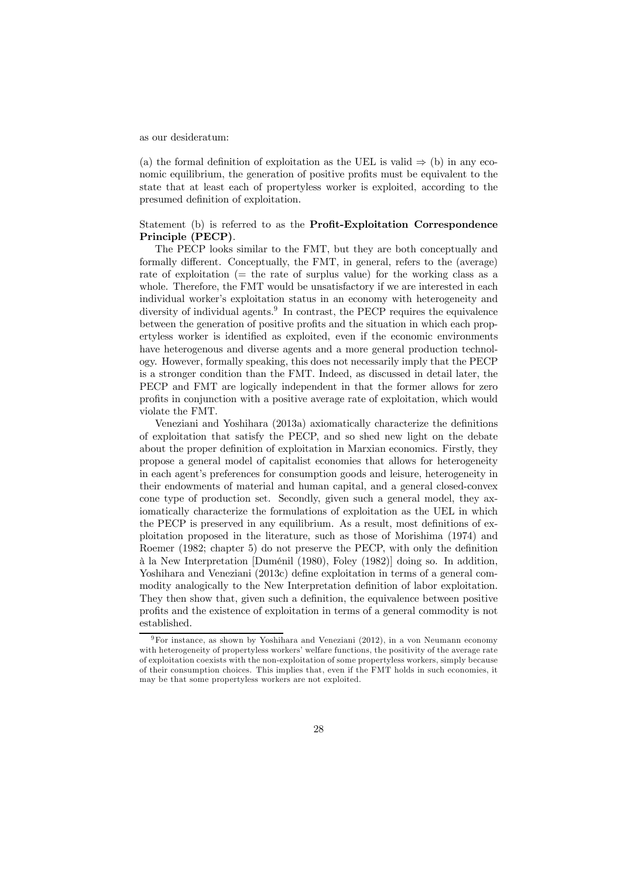as our desideratum:

(a) the formal definition of exploitation as the UEL is valid  $\Rightarrow$  (b) in any economic equilibrium, the generation of positive profits must be equivalent to the state that at least each of propertyless worker is exploited, according to the presumed definition of exploitation.

#### Statement (b) is referred to as the Profit-Exploitation Correspondence Principle (PECP).

The PECP looks similar to the FMT, but they are both conceptually and formally different. Conceptually, the FMT, in general, refers to the (average) rate of exploitation  $(=$  the rate of surplus value) for the working class as a whole. Therefore, the FMT would be unsatisfactory if we are interested in each individual worker's exploitation status in an economy with heterogeneity and diversity of individual agents.<sup>9</sup> In contrast, the PECP requires the equivalence between the generation of positive profits and the situation in which each propertyless worker is identified as exploited, even if the economic environments have heterogenous and diverse agents and a more general production technology. However, formally speaking, this does not necessarily imply that the PECP is a stronger condition than the FMT. Indeed, as discussed in detail later, the PECP and FMT are logically independent in that the former allows for zero profits in conjunction with a positive average rate of exploitation, which would violate the FMT.

Veneziani and Yoshihara (2013a) axiomatically characterize the definitions of exploitation that satisfy the PECP, and so shed new light on the debate about the proper definition of exploitation in Marxian economics. Firstly, they propose a general model of capitalist economies that allows for heterogeneity in each agent's preferences for consumption goods and leisure, heterogeneity in their endowments of material and human capital, and a general closed-convex cone type of production set. Secondly, given such a general model, they axiomatically characterize the formulations of exploitation as the UEL in which the PECP is preserved in any equilibrium. As a result, most definitions of exploitation proposed in the literature, such as those of Morishima (1974) and Roemer (1982; chapter 5) do not preserve the PECP, with only the definition à la New Interpretation [Duménil (1980), Foley (1982)] doing so. In addition, Yoshihara and Veneziani (2013c) define exploitation in terms of a general commodity analogically to the New Interpretation definition of labor exploitation. They then show that, given such a definition, the equivalence between positive profits and the existence of exploitation in terms of a general commodity is not established.

<sup>9</sup>For instance, as shown by Yoshihara and Veneziani (2012), in a von Neumann economy with heterogeneity of propertyless workers' welfare functions, the positivity of the average rate of exploitation coexists with the non-exploitation of some propertyless workers, simply because of their consumption choices. This implies that, even if the FMT holds in such economies, it may be that some propertyless workers are not exploited.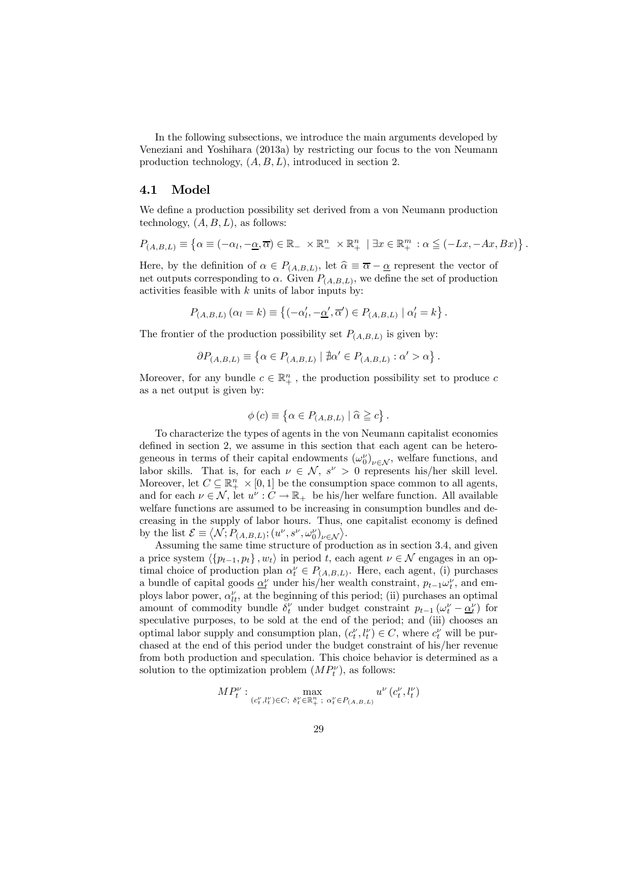In the following subsections, we introduce the main arguments developed by Veneziani and Yoshihara (2013a) by restricting our focus to the von Neumann production technology,  $(A, B, L)$ , introduced in section 2.

#### 4.1 Model

We define a production possibility set derived from a von Neumann production technology,  $(A, B, L)$ , as follows:

$$
P_{(A,B,L)} \equiv \left\{ \alpha \equiv (-\alpha_l, -\underline{\alpha}, \overline{\alpha}) \in \mathbb{R}_- \times \mathbb{R}^n_+ \times \mathbb{R}^n_+ \mid \exists x \in \mathbb{R}^m_+ : \alpha \leq (-Lx, -Ax, Bx) \right\}.
$$

Here, by the definition of  $\alpha \in P_{(A,B,L)}$ , let  $\widehat{\alpha} \equiv \overline{\alpha} - \underline{\alpha}$  represent the vector of net outputs corresponding to  $\alpha$ . Given  $P_{(A,B,L)}$ , we define the set of production activities feasible with  $k$  units of labor inputs by:

$$
P_{(A,B,L)}(\alpha_l = k) \equiv \left\{ (-\alpha'_l, -\underline{\alpha}', \overline{\alpha}') \in P_{(A,B,L)} \mid \alpha'_l = k \right\}.
$$

The frontier of the production possibility set  $P_{(A,B,L)}$  is given by:

$$
\partial P_{(A,B,L)} \equiv \left\{ \alpha \in P_{(A,B,L)} \mid \nexists \alpha' \in P_{(A,B,L)} : \alpha' > \alpha \right\}.
$$

Moreover, for any bundle  $c \in \mathbb{R}_+^n$  , the production possibility set to produce  $c$ as a net output is given by:

$$
\phi(c) \equiv \left\{ \alpha \in P_{(A,B,L)} \mid \widehat{\alpha} \geqq c \right\}.
$$

To characterize the types of agents in the von Neumann capitalist economies defined in section 2, we assume in this section that each agent can be heterogeneous in terms of their capital endowments  $(\omega_0^{\nu})_{\nu \in \mathcal{N}}$ , welfare functions, and labor skills. That is, for each  $\nu \in \mathcal{N}$ ,  $s^{\nu} > 0$  represents his/her skill level. Moreover, let  $C \subseteq \mathbb{R}^n_+ \times [0,1]$  be the consumption space common to all agents, and for each  $\nu \in \mathcal{N}$ , let  $u^{\nu}: C \to \mathbb{R}_{+}$  be his/her welfare function. All available welfare functions are assumed to be increasing in consumption bundles and decreasing in the supply of labor hours. Thus, one capitalist economy is defined by the list  $\mathcal{E} \equiv \langle \mathcal{N}; P_{(A,B,L)}; (u^{\nu}, s^{\nu}, \omega_0^{\nu})_{\nu \in \mathcal{N}} \rangle$ .

Assuming the same time structure of production as in section 3.4, and given a price system  $\langle \{p_{t-1}, p_t\}, w_t \rangle$  in period t, each agent  $\nu \in \mathcal{N}$  engages in an optimal choice of production plan  $\alpha_t^{\nu} \in P_{(A,B,L)}$ . Here, each agent, (i) purchases a bundle of capital goods  $\underline{\alpha}^{\nu}_t$  under his/her wealth constraint,  $p_{t-1}\omega^{\nu}_t$ , and employs labor power,  $\alpha_{lt}^{\nu}$ , at the beginning of this period; (ii) purchases an optimal amount of commodity bundle  $\delta_t^{\nu}$  under budget constraint  $p_{t-1}(\omega_t^{\nu} - \underline{\alpha}_t^{\nu})$  for speculative purposes, to be sold at the end of the period; and (iii) chooses an optimal labor supply and consumption plan,  $(c_t^{\nu}, l_t^{\nu}) \in C$ , where  $c_t^{\nu}$  will be purchased at the end of this period under the budget constraint of his/her revenue from both production and speculation. This choice behavior is determined as a solution to the optimization problem  $(MP_t^{\nu})$ , as follows:

$$
MP_t^\nu: \max_{(c_t^\nu,l_t^\nu) \in C; \ \delta_t^\nu \in \mathbb{R}_+^n, \ \alpha_t^\nu \in P_{(A,B,L)}} u^\nu\left(c_t^\nu,l_t^\nu\right)
$$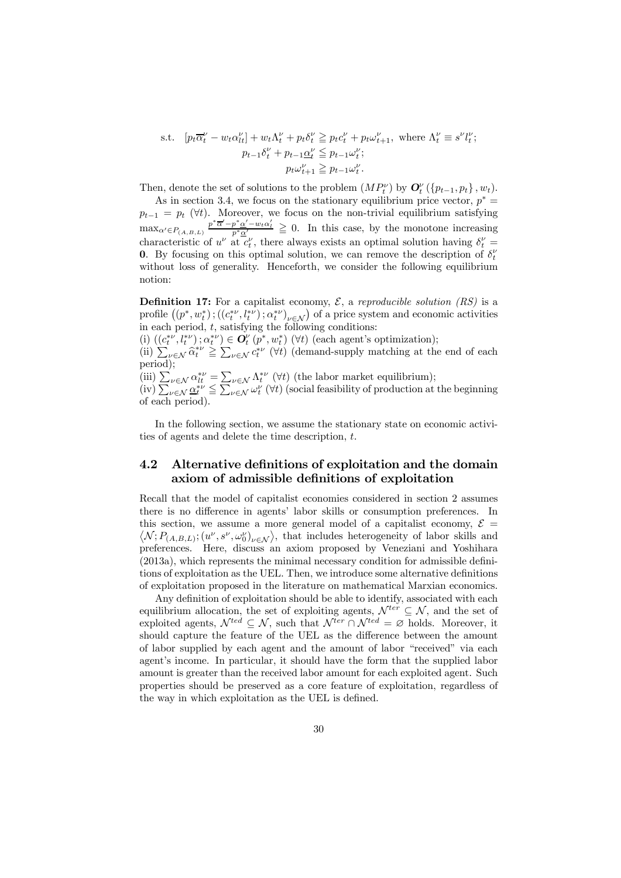s.t. 
$$
[p_t \overline{\alpha}_t^{\nu} - w_t \alpha_{lt}^{\nu}] + w_t \Lambda_t^{\nu} + p_t \delta_t^{\nu} \geq p_t c_t^{\nu} + p_t \omega_{t+1}^{\nu}, \text{ where } \Lambda_t^{\nu} \equiv s^{\nu} l_t^{\nu};
$$

$$
p_{t-1} \delta_t^{\nu} + p_{t-1} \underline{\alpha}_t^{\nu} \leq p_{t-1} \omega_t^{\nu};
$$

$$
p_t \omega_{t+1}^{\nu} \geq p_{t-1} \omega_t^{\nu}.
$$

Then, denote the set of solutions to the problem  $(MP_t^{\nu})$  by  $\mathbf{O}_t^{\nu}(\{p_{t-1}, p_t\}, w_t)$ .

As in section 3.4, we focus on the stationary equilibrium price vector,  $p^* =$  $p_{t-1} = p_t$  ( $\forall t$ ). Moreover, we focus on the non-trivial equilibrium satisfying  $\max_{\alpha' \in P_{(A,B,L)}} \frac{p^* \overline{\alpha}' - p^* \underline{\alpha}' - w_t \alpha'_l}{p^* \underline{\alpha}'} \geq 0$ . In this case, by the monotone increasing characteristic of  $u^{\nu}$  at  $c^{\nu}_t$ , there always exists an optimal solution having  $\delta^{\nu}_t$  = **0.** By focusing on this optimal solution, we can remove the description of  $\delta_t^{\nu}$ without loss of generality. Henceforth, we consider the following equilibrium notion:

**Definition 17:** For a capitalist economy,  $\mathcal{E}$ , a reproducible solution (RS) is a profile  $((p^*, w_t^*); ((c_t^{*\nu}, l_t^{*\nu}); \alpha_t^{*\nu})_{\nu \in \mathcal{N}})$  of a price system and economic activities in each period,  $t$ , satisfying the following conditions:

(i)  $((c_t^{*\nu}, l_t^{*\nu}); \alpha_t^{*\nu}) \in O_t^{\nu}(p^*, w_t^*)$  ( $\forall t$ ) (each agent's optimization); (ii)  $\sum_{\nu \in \mathcal{N}} \hat{\alpha}_t^{*\nu} \geq \sum_{\nu \in \mathcal{N}} c_t^{*\nu}$  ( $\forall t$ ) (demand-supply matching at the end of each period);

(iii)  $\sum_{\nu \in \mathcal{N}} \alpha_{l}^{*\nu} = \sum_{\nu \in \mathcal{N}} \Lambda_{l}^{*\nu} (\forall t)$  (the labor market equilibrium);  $(v)$   $\sum_{\nu \in \mathcal{N}} \underline{\alpha_t^{*\nu}} \leq \sum_{\nu \in \mathcal{N}} \omega_t^{\nu}$  ( $\forall t$ ) (social feasibility of production at the beginning of each period).

In the following section, we assume the stationary state on economic activities of agents and delete the time description, t.

#### 4.2 Alternative definitions of exploitation and the domain axiom of admissible definitions of exploitation

Recall that the model of capitalist economies considered in section 2 assumes there is no difference in agents' labor skills or consumption preferences. In this section, we assume a more general model of a capitalist economy,  $\mathcal{E} =$  $\mathcal{N}; P_{(A,B,L)}; (u^{\nu}, s^{\nu}, \omega_0^{\nu})_{\nu \in \mathcal{N}}\rangle$ , that includes heterogeneity of labor skills and preferences. Here, discuss an axiom proposed by Veneziani and Yoshihara (2013a), which represents the minimal necessary condition for admissible definitions of exploitation as the UEL. Then, we introduce some alternative definitions of exploitation proposed in the literature on mathematical Marxian economics.

Any definition of exploitation should be able to identify, associated with each equilibrium allocation, the set of exploiting agents,  $\mathcal{N}^{ter} \subseteq \mathcal{N}$ , and the set of exploited agents,  $\mathcal{N}^{ted} \subseteq \mathcal{N}$ , such that  $\mathcal{N}^{ter} \cap \mathcal{N}^{ted} = \emptyset$  holds. Moreover, it should capture the feature of the UEL as the difference between the amount of labor supplied by each agent and the amount of labor "received" via each agent's income. In particular, it should have the form that the supplied labor amount is greater than the received labor amount for each exploited agent. Such properties should be preserved as a core feature of exploitation, regardless of the way in which exploitation as the UEL is defined.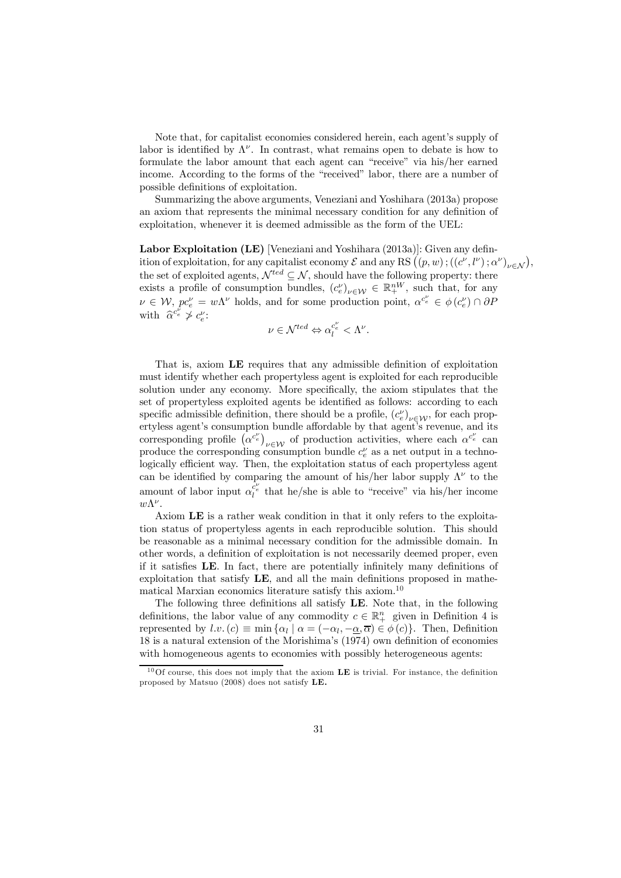Note that, for capitalist economies considered herein, each agent's supply of labor is identified by  $\Lambda^{\nu}$ . In contrast, what remains open to debate is how to formulate the labor amount that each agent can "receive" via his/her earned income. According to the forms of the "received" labor, there are a number of possible definitions of exploitation.

Summarizing the above arguments, Veneziani and Yoshihara (2013a) propose an axiom that represents the minimal necessary condition for any definition of exploitation, whenever it is deemed admissible as the form of the UEL:

Labor Exploitation (LE) [Veneziani and Yoshihara (2013a)]: Given any definition of exploitation, for any capitalist economy  $\mathcal E$  and any RS  $((p, w)$ ;  $((c^{\nu}, l^{\nu}); \alpha^{\nu})_{\nu \in \mathcal N})$ , the set of exploited agents,  $\mathcal{N}^{ted} \subseteq \mathcal{N}$ , should have the following property: there exists a profile of consumption bundles,  $(c_e^{\nu})_{\nu \in \mathcal{W}} \in \mathbb{R}^{nW}_+$ , such that, for any  $\nu \in \mathcal{W},$   $pc_e^{\nu} = w\Lambda^{\nu}$  holds, and for some production point,  $\alpha^{c_e^{\nu}} \in \phi(c_e^{\nu}) \cap \partial P$ with  $\widehat{\alpha}^{c_e^{\nu}} \not> c_e^{\nu}$ :

$$
\nu \in \mathcal{N}^{ted} \Leftrightarrow \alpha_l^{c_e^\nu} < \Lambda^\nu.
$$

That is, axiom LE requires that any admissible definition of exploitation must identify whether each propertyless agent is exploited for each reproducible solution under any economy. More specifically, the axiom stipulates that the set of propertyless exploited agents be identified as follows: according to each specific admissible definition, there should be a profile,  $(c_e^{\nu})_{\nu \in \mathcal{W}}$ , for each propertyless agent's consumption bundle affordable by that agent's revenue, and its corresponding profile  $(\alpha^{c_e^{\nu}})_{\nu \in \mathcal{W}}$  of production activities, where each  $\alpha^{c_e^{\nu}}$  can produce the corresponding consumption bundle  $c_e^{\nu}$  as a net output in a technologically efficient way. Then, the exploitation status of each propertyless agent can be identified by comparing the amount of his/her labor supply  $\Lambda^{\nu}$  to the amount of labor input  $\alpha_i^{\overline{c}_e}$  that he/she is able to "receive" via his/her income  $w\Lambda^{\nu}$ .

Axiom LE is a rather weak condition in that it only refers to the exploitation status of propertyless agents in each reproducible solution. This should be reasonable as a minimal necessary condition for the admissible domain. In other words, a definition of exploitation is not necessarily deemed proper, even if it satisfies LE. In fact, there are potentially infinitely many definitions of exploitation that satisfy LE, and all the main definitions proposed in mathematical Marxian economics literature satisfy this axiom.<sup>10</sup>

The following three definitions all satisfy LE. Note that, in the following definitions, the labor value of any commodity  $c \in \mathbb{R}^n_+$  given in Definition 4 is represented by l.v.  $(c) \equiv \min \{ \alpha_l \mid \alpha_l = (-\alpha_l, -\alpha_l, \overline{\alpha}) \in \phi(c) \}.$  Then, Definition 18 is a natural extension of the Morishima's (1974) own definition of economies with homogeneous agents to economies with possibly heterogeneous agents:

 $10$ Of course, this does not imply that the axiom LE is trivial. For instance, the definition proposed by Matsuo (2008) does not satisfy LE.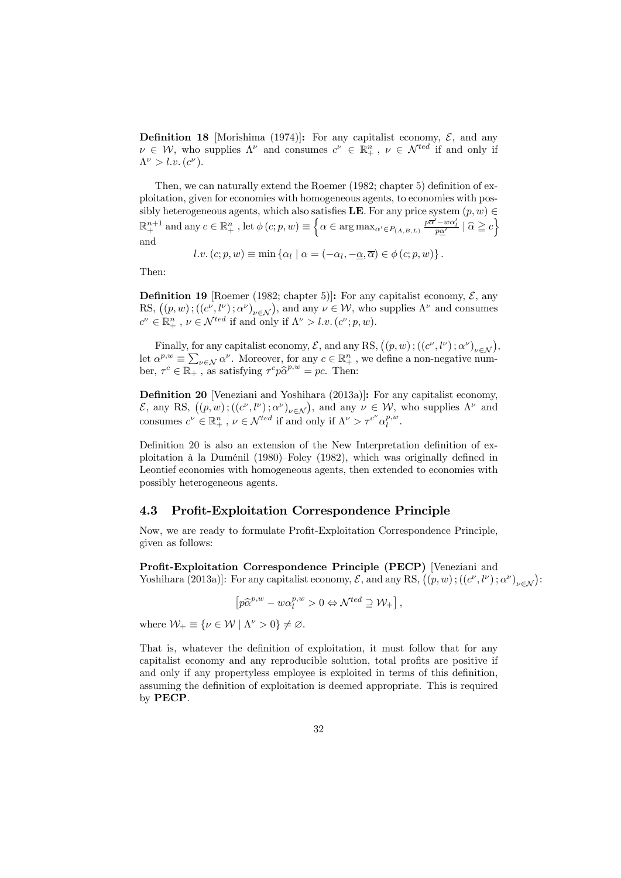**Definition 18** [Morishima (1974)]: For any capitalist economy,  $\mathcal{E}$ , and any  $\nu \in \mathcal{W}$ , who supplies  $\Lambda^{\nu}$  and consumes  $c^{\nu} \in \mathbb{R}^{n}_{+}$ ,  $\nu \in \mathcal{N}^{ted}$  if and only if  $\Lambda^{\nu} > l.v. (c^{\nu}).$ 

Then, we can naturally extend the Roemer (1982; chapter 5) definition of exploitation, given for economies with homogeneous agents, to economies with possibly heterogeneous agents, which also satisfies **LE**. For any price system  $(p, w) \in$  $\mathbb{R}^{n+1}_+$  and any  $c \in \mathbb{R}^n_+$ , let  $\phi(c;p,w) \equiv \left\{ \alpha \in \arg \max_{\alpha' \in P_{(A,B,L)}} \frac{p\overline{\alpha}' - w\alpha'_l}{p\underline{\alpha}'} \mid \widehat{\alpha} \geqq c \right\}$ and

$$
l.v. (c; p, w) \equiv \min \{ \alpha_l \mid \alpha = (-\alpha_l, -\underline{\alpha}, \overline{\alpha}) \in \phi (c; p, w) \}.
$$

Then:

**Definition 19** [Roemer (1982; chapter 5)]: For any capitalist economy,  $\mathcal{E}$ , any RS,  $((p, w)$ ;  $((c^{\nu}, l^{\nu}); \alpha^{\nu})_{\nu \in \mathcal{N}})$ , and any  $\nu \in \mathcal{W}$ , who supplies  $\Lambda^{\nu}$  and consumes  $c^{\nu} \in \mathbb{R}^n_+$ ,  $\nu \in \mathcal{N}^{ted}$  if and only if  $\Lambda^{\nu} > l.v.$   $(c^{\nu}; p, w)$ .

Finally, for any capitalist economy,  $\mathcal{E}$ , and any RS,  $((p, w) ; ((c^{\nu}, l^{\nu}) ; \alpha^{\nu})_{\nu \in \mathcal{N}})$ , let  $\alpha^{p,w} \equiv \sum_{\nu \in \mathcal{N}} \alpha^{\nu}$ . Moreover, for any  $c \in \mathbb{R}^n_+$ , we define a non-negative number,  $\tau^c \in \mathbb{R}_+$ , as satisfying  $\tau^c p \hat{\alpha}^{p,w} = pc$ . Then:

Definition 20 [Veneziani and Yoshihara (2013a)]: For any capitalist economy,  $\mathcal{E}$ , any RS,  $((p, w)$ ;  $((c^ν, l^ν); α^ν)_{ν ∈ N})$ , and any  $ν ∈ W$ , who supplies Λ<sup>ν</sup> and consumes  $c^{\nu} \in \mathbb{R}^n_+$ ,  $\nu \in \mathcal{N}^{ted}$  if and only if  $\Lambda^{\nu} > \tau^{c^{\nu}} \alpha_l^{p,w}$ .

Definition 20 is also an extension of the New Interpretation definition of exploitation à la Duménil (1980)—Foley (1982), which was originally defined in Leontief economies with homogeneous agents, then extended to economies with possibly heterogeneous agents.

#### 4.3 Profit-Exploitation Correspondence Principle

Now, we are ready to formulate Profit-Exploitation Correspondence Principle, given as follows:

Profit-Exploitation Correspondence Principle (PECP) [Veneziani and Yoshihara (2013a)]: For any capitalist economy,  $\mathcal{E}$ , and any RS,  $((p, w)$ ;  $((c^{\nu}, l^{\nu}); \alpha^{\nu})_{\nu \in \mathcal{N}})$ :

$$
\left[ p \widehat{\alpha}^{p,w} - w \alpha_l^{p,w} > 0 \Leftrightarrow \mathcal{N}^{ted} \supseteq \mathcal{W}_+ \right],
$$

where  $\mathcal{W}_+ \equiv \{ \nu \in \mathcal{W} \mid \Lambda^{\nu} > 0 \} \neq \emptyset$ .

That is, whatever the definition of exploitation, it must follow that for any capitalist economy and any reproducible solution, total profits are positive if and only if any propertyless employee is exploited in terms of this definition, assuming the definition of exploitation is deemed appropriate. This is required by PECP.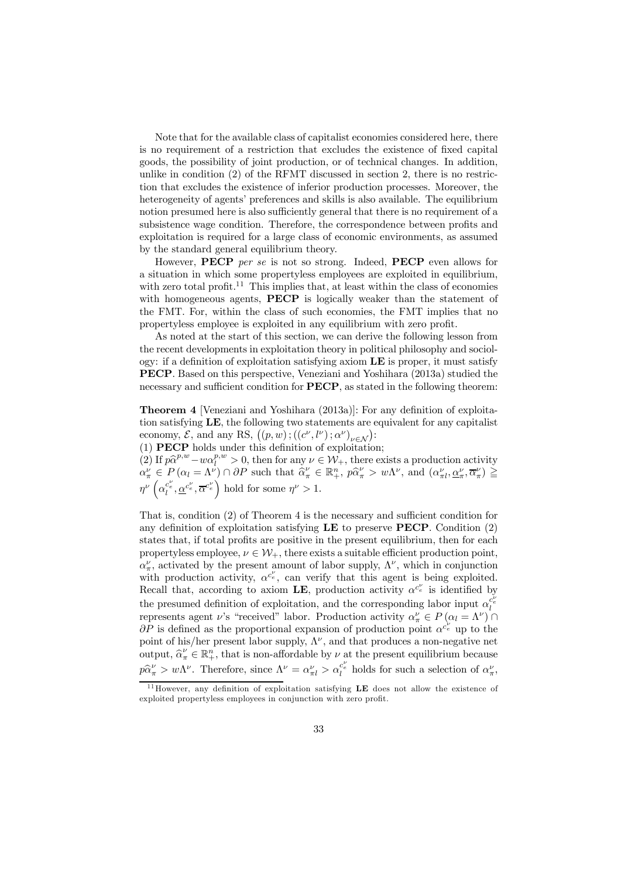Note that for the available class of capitalist economies considered here, there is no requirement of a restriction that excludes the existence of fixed capital goods, the possibility of joint production, or of technical changes. In addition, unlike in condition  $(2)$  of the RFMT discussed in section 2, there is no restriction that excludes the existence of inferior production processes. Moreover, the heterogeneity of agents' preferences and skills is also available. The equilibrium notion presumed here is also sufficiently general that there is no requirement of a subsistence wage condition. Therefore, the correspondence between profits and exploitation is required for a large class of economic environments, as assumed by the standard general equilibrium theory.

However, **PECP** per se is not so strong. Indeed, **PECP** even allows for a situation in which some propertyless employees are exploited in equilibrium, with zero total profit.<sup>11</sup> This implies that, at least within the class of economies with homogeneous agents, **PECP** is logically weaker than the statement of the FMT. For, within the class of such economies, the FMT implies that no propertyless employee is exploited in any equilibrium with zero profit.

As noted at the start of this section, we can derive the following lesson from the recent developments in exploitation theory in political philosophy and sociology: if a definition of exploitation satisfying axiom  $LE$  is proper, it must satisfy PECP. Based on this perspective, Veneziani and Yoshihara (2013a) studied the necessary and sufficient condition for **PECP**, as stated in the following theorem:

Theorem 4 [Veneziani and Yoshihara (2013a)]: For any definition of exploitation satisfying LE, the following two statements are equivalent for any capitalist economy,  $\mathcal{E}$ , and any RS,  $((p, w)$ ;  $((c^{\nu}, l^{\nu}); \alpha^{\nu})_{\nu \in \mathcal{N}})$ :

(1) PECP holds under this definition of exploitation;

(2) If  $p\hat{\alpha}^{p,w} - w\alpha_l^{p,w} > 0$ , then for any  $\nu \in \mathcal{W}_+$ , there exists a production activity  $\alpha^{\nu}_{\pi} \in P(\alpha_l = \Lambda^{\nu}) \cap \partial P$  such that  $\hat{\alpha}^{\nu}_{\pi} \in \mathbb{R}^n_+$ ,  $p\hat{\alpha}^{\nu}_{\pi} > w\Lambda^{\nu}$ , and  $(\alpha^{\nu}_{\pi l}, \alpha^{\nu}_{\pi}, \overline{\alpha}^{\nu}_{\pi}) \geq$  $\eta^{\nu}\left(\alpha_{l}^{c_{e}^{\nu}}, \alpha^{c_{e}^{\nu}}\right)$  hold for some  $\eta^{\nu} > 1$ .

That is, condition (2) of Theorem 4 is the necessary and sufficient condition for any definition of exploitation satisfying  $\bf LE$  to preserve  $\bf PECP$ . Condition (2) states that, if total profits are positive in the present equilibrium, then for each propertyless employee,  $\nu \in \mathcal{W}_+$ , there exists a suitable efficient production point,  $\alpha_{\pi}^{\nu}$ , activated by the present amount of labor supply,  $\Lambda^{\nu}$ , which in conjunction with production activity,  $\alpha^{c_e}$ , can verify that this agent is being exploited. Recall that, according to axiom LE, production activity  $\alpha^{c_e}$  is identified by the presumed definition of exploitation, and the corresponding labor input  $\alpha_i^{c_e^k}$ represents agent  $\nu$ 's "received" labor. Production activity  $\alpha''_{\pi} \in P(\alpha_l = \Lambda^{\nu})$  $\partial P$  is defined as the proportional expansion of production point  $\alpha^{c_{e}^{\nu}}$  up to the point of his/her present labor supply,  $\Lambda^{\nu}$ , and that produces a non-negative net output,  $\widehat{\alpha}^{\nu}_{\pi} \in \mathbb{R}^n_+$ , that is non-affordable by  $\nu$  at the present equilibrium because  $p\hat{\alpha}^{\nu}_{\pi} > w\Lambda^{\nu}$ . Therefore, since  $\Lambda^{\nu} = \alpha^{\nu}_{\pi l} > \alpha^{\tilde{c}^{\nu}}_l$  holds for such a selection of  $\alpha^{\nu}_{\pi}$ ,

 $11$  However, any definition of exploitation satisfying LE does not allow the existence of exploited propertyless employees in conjunction with zero profit.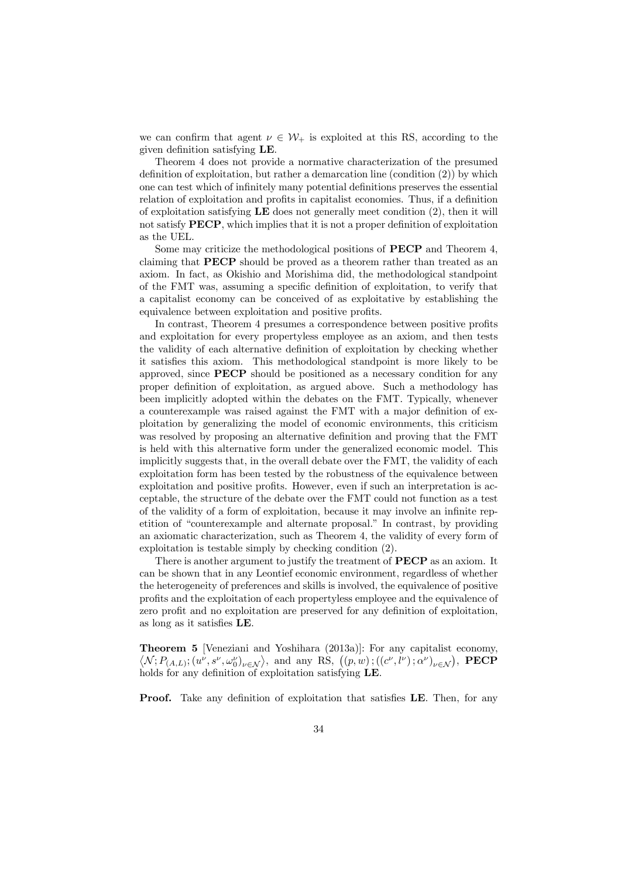we can confirm that agent  $\nu \in \mathcal{W}_+$  is exploited at this RS, according to the given definition satisfying LE.

Theorem 4 does not provide a normative characterization of the presumed definition of exploitation, but rather a demarcation line (condition (2)) by which one can test which of infinitely many potential definitions preserves the essential relation of exploitation and profits in capitalist economies. Thus, if a definition of exploitation satisfying  $LE$  does not generally meet condition  $(2)$ , then it will not satisfy PECP, which implies that it is not a proper definition of exploitation as the UEL.

Some may criticize the methodological positions of PECP and Theorem 4, claiming that PECP should be proved as a theorem rather than treated as an axiom. In fact, as Okishio and Morishima did, the methodological standpoint of the FMT was, assuming a specific definition of exploitation, to verify that a capitalist economy can be conceived of as exploitative by establishing the equivalence between exploitation and positive profits.

In contrast, Theorem 4 presumes a correspondence between positive profits and exploitation for every propertyless employee as an axiom, and then tests the validity of each alternative definition of exploitation by checking whether it satisfies this axiom. This methodological standpoint is more likely to be approved, since PECP should be positioned as a necessary condition for any proper definition of exploitation, as argued above. Such a methodology has been implicitly adopted within the debates on the FMT. Typically, whenever a counterexample was raised against the FMT with a major definition of exploitation by generalizing the model of economic environments, this criticism was resolved by proposing an alternative definition and proving that the FMT is held with this alternative form under the generalized economic model. This implicitly suggests that, in the overall debate over the FMT, the validity of each exploitation form has been tested by the robustness of the equivalence between exploitation and positive profits. However, even if such an interpretation is acceptable, the structure of the debate over the FMT could not function as a test of the validity of a form of exploitation, because it may involve an infinite repetition of "counterexample and alternate proposal." In contrast, by providing an axiomatic characterization, such as Theorem 4, the validity of every form of exploitation is testable simply by checking condition (2).

There is another argument to justify the treatment of **PECP** as an axiom. It can be shown that in any Leontief economic environment, regardless of whether the heterogeneity of preferences and skills is involved, the equivalence of positive profits and the exploitation of each propertyless employee and the equivalence of zero profit and no exploitation are preserved for any definition of exploitation, as long as it satisfies LE.

Theorem 5 [Veneziani and Yoshihara (2013a)]: For any capitalist economy,  $\langle \mathcal{N}; P_{(A,L)}; (u^{\nu}, s^{\nu}, \omega_0^{\nu})_{\nu \in \mathcal{N}} \rangle$ , and any RS,  $((p, w); ((c^{\nu}, l^{\nu}); \alpha^{\nu})_{\nu \in \mathcal{N}})$ , **PECP** holds for any definition of exploitation satisfying LE.

Proof. Take any definition of exploitation that satisfies LE. Then, for any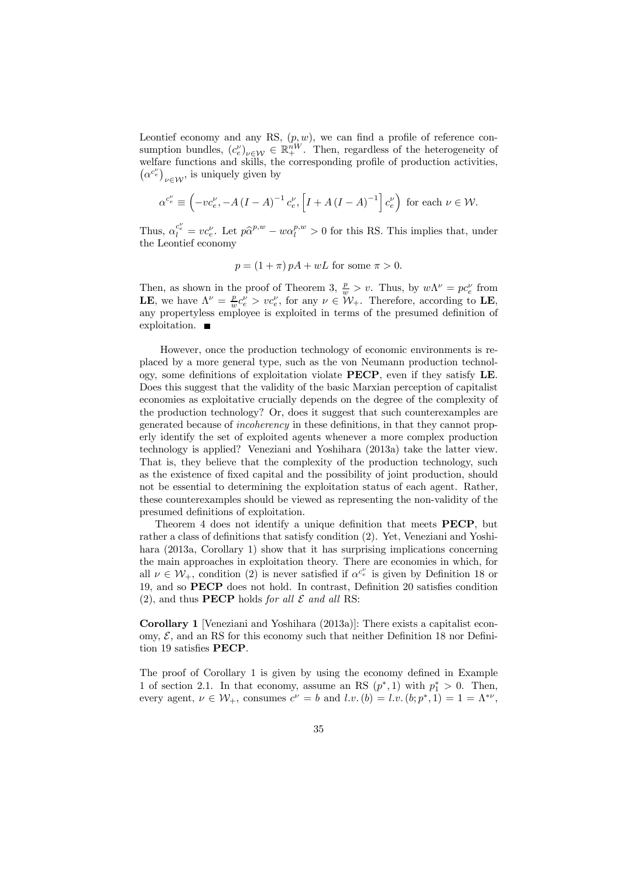Leontief economy and any RS,  $(p, w)$ , we can find a profile of reference consumption bundles,  $(c_e^{\nu})_{\nu \in \mathcal{W}} \in \mathbb{R}^{nW}_{+}$ . Then, regardless of the heterogeneity of welfare functions and skills, the corresponding profile of production activities,  $(\alpha^{c_e^{\nu}})_{\nu \in \mathcal{W}}$ , is uniquely given by

$$
\alpha^{c_e^{\nu}} \equiv \left(-vc_e^{\nu}, -A\left(I-A\right)^{-1}c_e^{\nu}, \left[I+A\left(I-A\right)^{-1}\right]c_e^{\nu}\right) \text{ for each } \nu \in \mathcal{W}.
$$

Thus,  $\alpha_l^{c_e^{\nu}} = v c_e^{\nu}$ . Let  $p\hat{\alpha}^{p,w} - w\alpha_l^{p,w} > 0$  for this RS. This implies that, under the Leontief economy

$$
p = (1 + \pi) pA + wL
$$
 for some  $\pi > 0$ .

Then, as shown in the proof of Theorem 3,  $\frac{p}{w} > v$ . Thus, by  $w\Lambda^{\nu} = pc_e^{\nu}$  from **LE**, we have  $\Lambda^{\nu} = \frac{p}{w}c_e^{\nu} > vc_e^{\nu}$ , for any  $\nu \in W_+$ . Therefore, according to **LE**, any propertyless employee is exploited in terms of the presumed definition of exploitation.

However, once the production technology of economic environments is replaced by a more general type, such as the von Neumann production technology, some definitions of exploitation violate PECP, even if they satisfy LE. Does this suggest that the validity of the basic Marxian perception of capitalist economies as exploitative crucially depends on the degree of the complexity of the production technology? Or, does it suggest that such counterexamples are generated because of incoherency in these definitions, in that they cannot properly identify the set of exploited agents whenever a more complex production technology is applied? Veneziani and Yoshihara (2013a) take the latter view. That is, they believe that the complexity of the production technology, such as the existence of fixed capital and the possibility of joint production, should not be essential to determining the exploitation status of each agent. Rather, these counterexamples should be viewed as representing the non-validity of the presumed definitions of exploitation.

Theorem 4 does not identify a unique definition that meets PECP, but rather a class of definitions that satisfy condition (2). Yet, Veneziani and Yoshihara (2013a, Corollary 1) show that it has surprising implications concerning the main approaches in exploitation theory. There are economies in which, for all  $\nu \in \mathcal{W}_+$ , condition (2) is never satisfied if  $\alpha^{c_e^{\nu}}$  is given by Definition 18 or 19, and so PECP does not hold. In contrast, Definition 20 satisfies condition (2), and thus **PECP** holds for all  $\mathcal E$  and all RS:

Corollary 1 [Veneziani and Yoshihara (2013a)]: There exists a capitalist economy,  $\mathcal{E}$ , and an RS for this economy such that neither Definition 18 nor Definition 19 satisfies PECP.

The proof of Corollary 1 is given by using the economy defined in Example 1 of section 2.1. In that economy, assume an RS  $(p^*, 1)$  with  $p_1^* > 0$ . Then, every agent,  $\nu \in \mathcal{W}_+$ , consumes  $c^{\nu} = b$  and  $l.v.$   $(b) = l.v.$   $(b; p^*, 1) = 1 = \Lambda^{*\nu}$ ,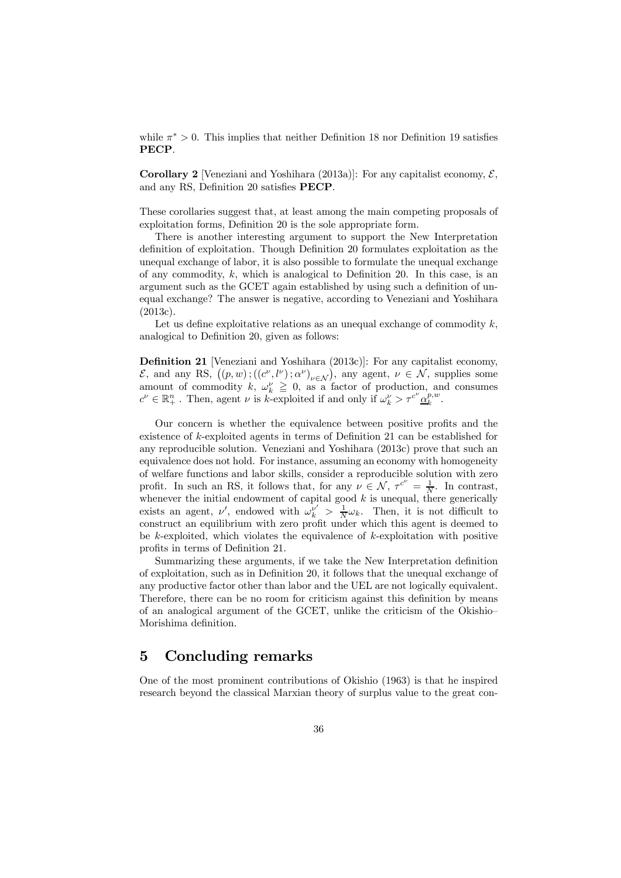while  $\pi^* > 0$ . This implies that neither Definition 18 nor Definition 19 satisfies PECP.

**Corollary 2** [Veneziani and Yoshihara (2013a)]: For any capitalist economy,  $\mathcal{E}$ , and any RS, Definition 20 satisfies PECP.

These corollaries suggest that, at least among the main competing proposals of exploitation forms, Definition 20 is the sole appropriate form.

There is another interesting argument to support the New Interpretation definition of exploitation. Though Definition 20 formulates exploitation as the unequal exchange of labor, it is also possible to formulate the unequal exchange of any commodity,  $k$ , which is analogical to Definition 20. In this case, is an argument such as the GCET again established by using such a definition of unequal exchange? The answer is negative, according to Veneziani and Yoshihara (2013c).

Let us define exploitative relations as an unequal exchange of commodity  $k$ , analogical to Definition 20, given as follows:

Definition 21 [Veneziani and Yoshihara (2013c)]: For any capitalist economy,  $\mathcal{E}$ , and any RS,  $((p, w); ((c^{\nu}, l^{\nu}); \alpha^{\nu})_{\nu \in \mathcal{N}})$ , any agent,  $\nu \in \mathcal{N}$ , supplies some amount of commodity  $k, \omega_k^{\nu} \geq 0$ , as a factor of production, and consumes  $c^{\nu} \in \mathbb{R}^n_+$ . Then, agent  $\nu$  is k-exploited if and only if  $\omega_k^{\nu} > \tau^{c^{\nu}} \underline{\alpha}_k^{p,w}$ .

Our concern is whether the equivalence between positive profits and the existence of k-exploited agents in terms of Definition 21 can be established for any reproducible solution. Veneziani and Yoshihara (2013c) prove that such an equivalence does not hold. For instance, assuming an economy with homogeneity of welfare functions and labor skills, consider a reproducible solution with zero profit. In such an RS, it follows that, for any  $\nu \in \mathcal{N}$ ,  $\tau^{c^{\nu}} = \frac{1}{N}$ . In contrast, whenever the initial endowment of capital good  $k$  is unequal, there generically exists an agent,  $\nu'$ , endowed with  $\omega_k^{\nu'} > \frac{1}{N} \omega_k$ . Then, it is not difficult to construct an equilibrium with zero profit under which this agent is deemed to be  $k$ -exploited, which violates the equivalence of  $k$ -exploitation with positive profits in terms of Definition 21.

Summarizing these arguments, if we take the New Interpretation definition of exploitation, such as in Definition 20, it follows that the unequal exchange of any productive factor other than labor and the UEL are not logically equivalent. Therefore, there can be no room for criticism against this definition by means of an analogical argument of the GCET, unlike the criticism of the Okishio— Morishima definition.

#### 5 Concluding remarks

One of the most prominent contributions of Okishio (1963) is that he inspired research beyond the classical Marxian theory of surplus value to the great con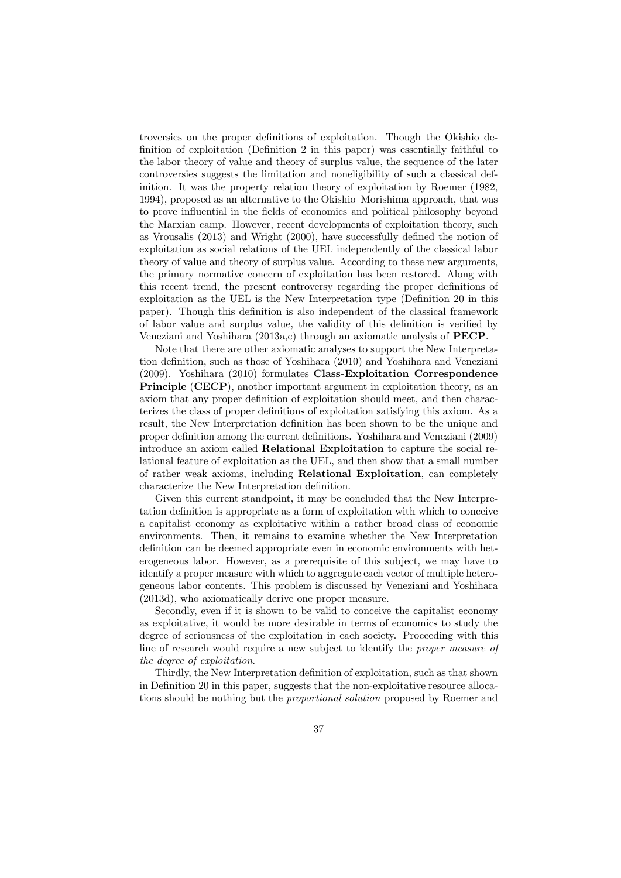troversies on the proper definitions of exploitation. Though the Okishio definition of exploitation (Definition 2 in this paper) was essentially faithful to the labor theory of value and theory of surplus value, the sequence of the later controversies suggests the limitation and noneligibility of such a classical definition. It was the property relation theory of exploitation by Roemer (1982, 1994), proposed as an alternative to the Okishio—Morishima approach, that was to prove influential in the fields of economics and political philosophy beyond the Marxian camp. However, recent developments of exploitation theory, such as Vrousalis (2013) and Wright (2000), have successfully defined the notion of exploitation as social relations of the UEL independently of the classical labor theory of value and theory of surplus value. According to these new arguments, the primary normative concern of exploitation has been restored. Along with this recent trend, the present controversy regarding the proper definitions of exploitation as the UEL is the New Interpretation type (Definition 20 in this paper). Though this definition is also independent of the classical framework of labor value and surplus value, the validity of this definition is verified by Veneziani and Yoshihara (2013a,c) through an axiomatic analysis of PECP.

Note that there are other axiomatic analyses to support the New Interpretation definition, such as those of Yoshihara (2010) and Yoshihara and Veneziani (2009). Yoshihara (2010) formulates Class-Exploitation Correspondence Principle (CECP), another important argument in exploitation theory, as an axiom that any proper definition of exploitation should meet, and then characterizes the class of proper definitions of exploitation satisfying this axiom. As a result, the New Interpretation definition has been shown to be the unique and proper definition among the current definitions. Yoshihara and Veneziani (2009) introduce an axiom called Relational Exploitation to capture the social relational feature of exploitation as the UEL, and then show that a small number of rather weak axioms, including Relational Exploitation, can completely characterize the New Interpretation definition.

Given this current standpoint, it may be concluded that the New Interpretation definition is appropriate as a form of exploitation with which to conceive a capitalist economy as exploitative within a rather broad class of economic environments. Then, it remains to examine whether the New Interpretation definition can be deemed appropriate even in economic environments with heterogeneous labor. However, as a prerequisite of this subject, we may have to identify a proper measure with which to aggregate each vector of multiple heterogeneous labor contents. This problem is discussed by Veneziani and Yoshihara (2013d), who axiomatically derive one proper measure.

Secondly, even if it is shown to be valid to conceive the capitalist economy as exploitative, it would be more desirable in terms of economics to study the degree of seriousness of the exploitation in each society. Proceeding with this line of research would require a new subject to identify the proper measure of the degree of exploitation.

Thirdly, the New Interpretation definition of exploitation, such as that shown in Definition 20 in this paper, suggests that the non-exploitative resource allocations should be nothing but the proportional solution proposed by Roemer and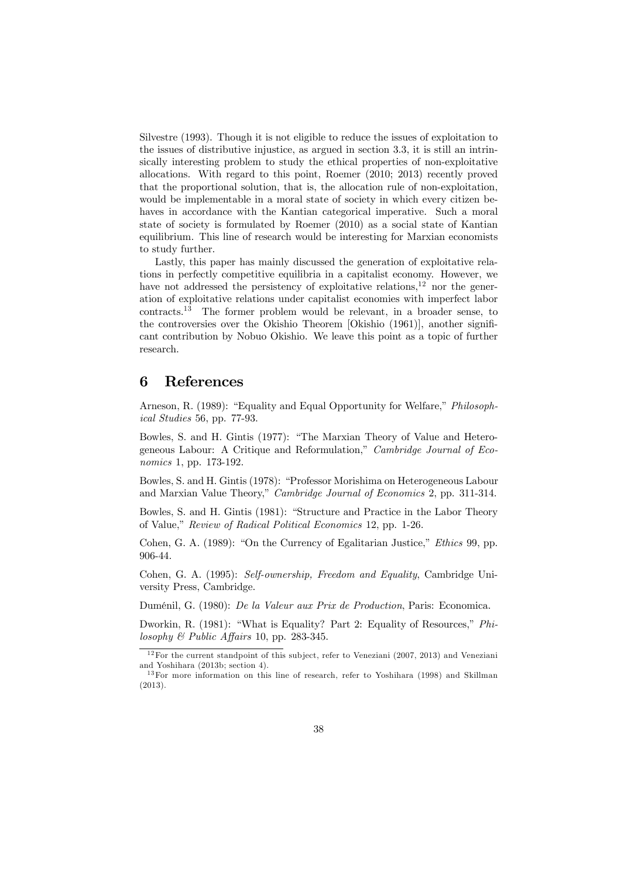Silvestre (1993). Though it is not eligible to reduce the issues of exploitation to the issues of distributive injustice, as argued in section 3.3, it is still an intrinsically interesting problem to study the ethical properties of non-exploitative allocations. With regard to this point, Roemer (2010; 2013) recently proved that the proportional solution, that is, the allocation rule of non-exploitation, would be implementable in a moral state of society in which every citizen behaves in accordance with the Kantian categorical imperative. Such a moral state of society is formulated by Roemer (2010) as a social state of Kantian equilibrium. This line of research would be interesting for Marxian economists to study further.

Lastly, this paper has mainly discussed the generation of exploitative relations in perfectly competitive equilibria in a capitalist economy. However, we have not addressed the persistency of exploitative relations, $12$  nor the generation of exploitative relations under capitalist economies with imperfect labor contracts.<sup>13</sup> The former problem would be relevant, in a broader sense, to the controversies over the Okishio Theorem [Okishio (1961)], another significant contribution by Nobuo Okishio. We leave this point as a topic of further research.

#### 6 References

Arneson, R. (1989): "Equality and Equal Opportunity for Welfare," Philosophical Studies 56, pp. 77-93.

Bowles, S. and H. Gintis (1977): "The Marxian Theory of Value and Heterogeneous Labour: A Critique and Reformulation," Cambridge Journal of Economics 1, pp. 173-192.

Bowles, S. and H. Gintis (1978): "Professor Morishima on Heterogeneous Labour and Marxian Value Theory," Cambridge Journal of Economics 2, pp. 311-314.

Bowles, S. and H. Gintis (1981): "Structure and Practice in the Labor Theory of Value," Review of Radical Political Economics 12, pp. 1-26.

Cohen, G. A. (1989): "On the Currency of Egalitarian Justice," Ethics 99, pp. 906-44.

Cohen, G. A. (1995): Self-ownership, Freedom and Equality, Cambridge University Press, Cambridge.

Duménil, G. (1980): De la Valeur aux Prix de Production, Paris: Economica.

Dworkin, R. (1981): "What is Equality? Part 2: Equality of Resources," Philosophy  $\mathcal B$  Public Affairs 10, pp. 283-345.

 $12$  For the current standpoint of this subject, refer to Veneziani (2007, 2013) and Veneziani and Yoshihara (2013b; section 4).

<sup>&</sup>lt;sup>13</sup> For more information on this line of research, refer to Yoshihara (1998) and Skillman (2013).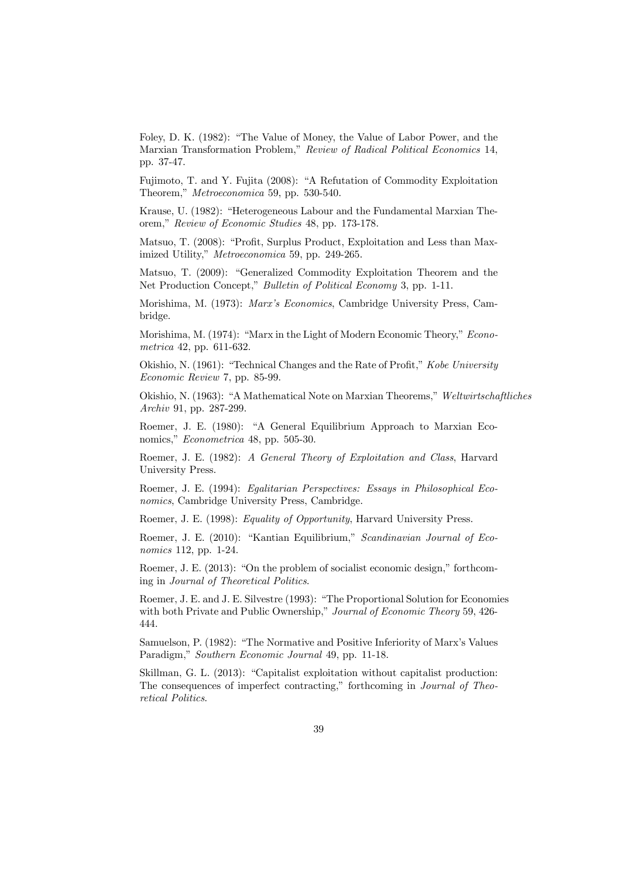Foley, D. K. (1982): "The Value of Money, the Value of Labor Power, and the Marxian Transformation Problem," Review of Radical Political Economics 14, pp. 37-47.

Fujimoto, T. and Y. Fujita (2008): "A Refutation of Commodity Exploitation Theorem," Metroeconomica 59, pp. 530-540.

Krause, U. (1982): "Heterogeneous Labour and the Fundamental Marxian Theorem," Review of Economic Studies 48, pp. 173-178.

Matsuo, T. (2008): "Profit, Surplus Product, Exploitation and Less than Maximized Utility," Metroeconomica 59, pp. 249-265.

Matsuo, T. (2009): "Generalized Commodity Exploitation Theorem and the Net Production Concept," Bulletin of Political Economy 3, pp. 1-11.

Morishima, M. (1973): Marx's Economics, Cambridge University Press, Cambridge.

Morishima, M. (1974): "Marx in the Light of Modern Economic Theory," Econometrica 42, pp. 611-632.

Okishio, N. (1961): "Technical Changes and the Rate of Profit," Kobe University Economic Review 7, pp. 85-99.

Okishio, N. (1963): "A Mathematical Note on Marxian Theorems," Weltwirtschaftliches Archiv 91, pp. 287-299.

Roemer, J. E. (1980): "A General Equilibrium Approach to Marxian Economics," Econometrica 48, pp. 505-30.

Roemer, J. E. (1982): A General Theory of Exploitation and Class, Harvard University Press.

Roemer, J. E. (1994): Egalitarian Perspectives: Essays in Philosophical Economics, Cambridge University Press, Cambridge.

Roemer, J. E. (1998): Equality of Opportunity, Harvard University Press.

Roemer, J. E. (2010): "Kantian Equilibrium," Scandinavian Journal of Economics 112, pp. 1-24.

Roemer, J. E. (2013): "On the problem of socialist economic design," forthcoming in Journal of Theoretical Politics.

Roemer, J. E. and J. E. Silvestre (1993): "The Proportional Solution for Economies with both Private and Public Ownership," Journal of Economic Theory 59, 426-444.

Samuelson, P. (1982): "The Normative and Positive Inferiority of Marx's Values Paradigm," Southern Economic Journal 49, pp. 11-18.

Skillman, G. L. (2013): "Capitalist exploitation without capitalist production: The consequences of imperfect contracting," forthcoming in Journal of Theoretical Politics.